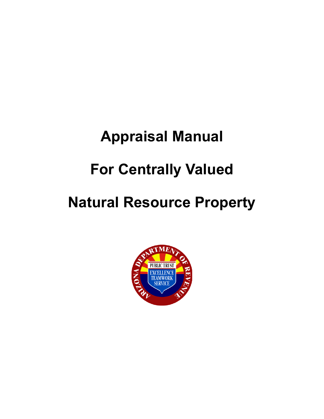# **Appraisal Manual For Centrally Valued**

## **Natural Resource Property**

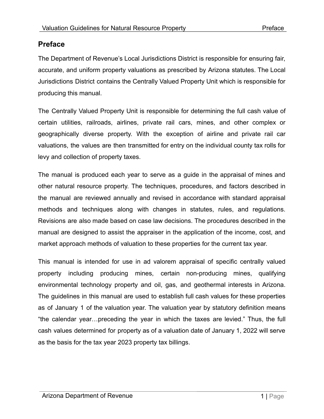#### <span id="page-1-0"></span>**Preface**

The Department of Revenue's Local Jurisdictions District is responsible for ensuring fair, accurate, and uniform property valuations as prescribed by Arizona statutes. The Local Jurisdictions District contains the Centrally Valued Property Unit which is responsible for producing this manual.

The Centrally Valued Property Unit is responsible for determining the full cash value of certain utilities, railroads, airlines, private rail cars, mines, and other complex or geographically diverse property. With the exception of airline and private rail car valuations, the values are then transmitted for entry on the individual county tax rolls for levy and collection of property taxes.

The manual is produced each year to serve as a guide in the appraisal of mines and other natural resource property. The techniques, procedures, and factors described in the manual are reviewed annually and revised in accordance with standard appraisal methods and techniques along with changes in statutes, rules, and regulations. Revisions are also made based on case law decisions. The procedures described in the manual are designed to assist the appraiser in the application of the income, cost, and market approach methods of valuation to these properties for the current tax year.

This manual is intended for use in ad valorem appraisal of specific centrally valued property including producing mines, certain non-producing mines, qualifying environmental technology property and oil, gas, and geothermal interests in Arizona. The guidelines in this manual are used to establish full cash values for these properties as of January 1 of the valuation year. The valuation year by statutory definition means "the calendar year…preceding the year in which the taxes are levied." Thus, the full cash values determined for property as of a valuation date of January 1, 2022 will serve as the basis for the tax year 2023 property tax billings.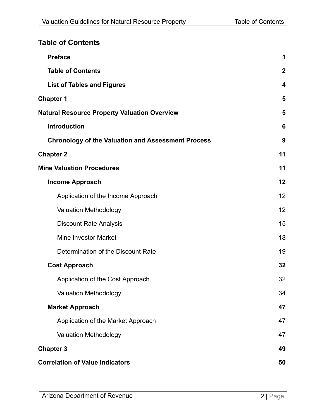#### <span id="page-2-0"></span>**Table of Contents**

| <b>Preface</b>                                            | 1           |
|-----------------------------------------------------------|-------------|
| <b>Table of Contents</b>                                  | $\mathbf 2$ |
| <b>List of Tables and Figures</b>                         | 4           |
| <b>Chapter 1</b>                                          | 5           |
| <b>Natural Resource Property Valuation Overview</b>       | 5           |
| <b>Introduction</b>                                       | 6           |
| <b>Chronology of the Valuation and Assessment Process</b> | 9           |
| <b>Chapter 2</b>                                          | 11          |
| <b>Mine Valuation Procedures</b>                          | 11          |
| <b>Income Approach</b>                                    | 12          |
| Application of the Income Approach                        | 12          |
| <b>Valuation Methodology</b>                              | 12          |
| <b>Discount Rate Analysis</b>                             | 15          |
| <b>Mine Investor Market</b>                               | 18          |
| Determination of the Discount Rate                        | 19          |
| <b>Cost Approach</b>                                      | 32          |
| Application of the Cost Approach                          | 32          |
| <b>Valuation Methodology</b>                              | 34          |
| <b>Market Approach</b>                                    | 47          |
| Application of the Market Approach                        | 47          |
| <b>Valuation Methodology</b>                              | 47          |
| <b>Chapter 3</b>                                          | 49          |
| <b>Correlation of Value Indicators</b>                    | 50          |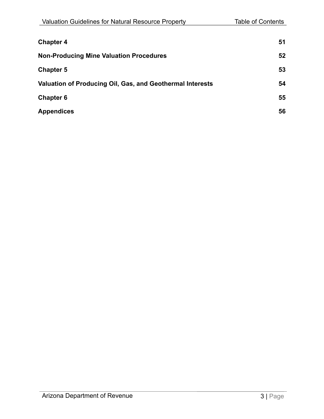| <b>Chapter 4</b>                                          | 51 |
|-----------------------------------------------------------|----|
| <b>Non-Producing Mine Valuation Procedures</b>            | 52 |
| <b>Chapter 5</b>                                          | 53 |
| Valuation of Producing Oil, Gas, and Geothermal Interests | 54 |
| <b>Chapter 6</b>                                          | 55 |
| <b>Appendices</b>                                         | 56 |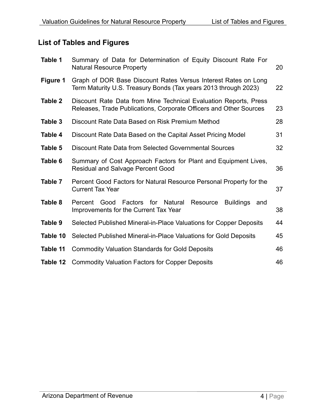#### <span id="page-4-0"></span>**List of Tables and Figures**

| Table 1  | Summary of Data for Determination of Equity Discount Rate For<br><b>Natural Resource Property</b>                                            | 20 |  |  |
|----------|----------------------------------------------------------------------------------------------------------------------------------------------|----|--|--|
| Figure 1 | Graph of DOR Base Discount Rates Versus Interest Rates on Long<br>Term Maturity U.S. Treasury Bonds (Tax years 2013 through 2023)<br>22      |    |  |  |
| Table 2  | Discount Rate Data from Mine Technical Evaluation Reports, Press<br>Releases, Trade Publications, Corporate Officers and Other Sources<br>23 |    |  |  |
| Table 3  | Discount Rate Data Based on Risk Premium Method                                                                                              | 28 |  |  |
| Table 4  | Discount Rate Data Based on the Capital Asset Pricing Model                                                                                  | 31 |  |  |
| Table 5  | <b>Discount Rate Data from Selected Governmental Sources</b>                                                                                 | 32 |  |  |
| Table 6  | Summary of Cost Approach Factors for Plant and Equipment Lives,<br><b>Residual and Salvage Percent Good</b>                                  | 36 |  |  |
| Table 7  | Percent Good Factors for Natural Resource Personal Property for the<br><b>Current Tax Year</b>                                               | 37 |  |  |
| Table 8  | Good<br>Factors for Natural<br><b>Buildings</b><br>Percent<br>Resource<br>and<br>Improvements for the Current Tax Year                       | 38 |  |  |
| Table 9  | Selected Published Mineral-in-Place Valuations for Copper Deposits                                                                           | 44 |  |  |
| Table 10 | Selected Published Mineral-in-Place Valuations for Gold Deposits                                                                             | 45 |  |  |
| Table 11 | <b>Commodity Valuation Standards for Gold Deposits</b>                                                                                       | 46 |  |  |
| Table 12 | <b>Commodity Valuation Factors for Copper Deposits</b>                                                                                       | 46 |  |  |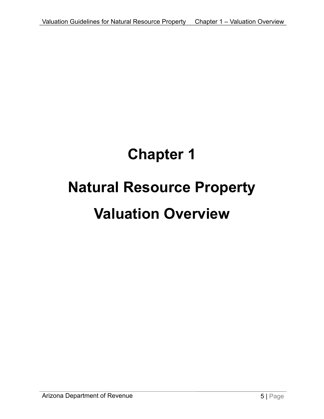# <span id="page-5-1"></span><span id="page-5-0"></span>**Chapter 1 Natural Resource Property Valuation Overview**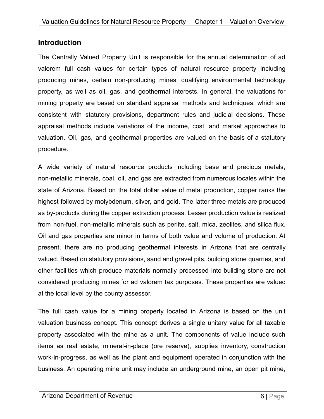#### <span id="page-6-0"></span>**Introduction**

The Centrally Valued Property Unit is responsible for the annual determination of ad valorem full cash values for certain types of natural resource property including producing mines, certain non-producing mines, qualifying environmental technology property, as well as oil, gas, and geothermal interests. In general, the valuations for mining property are based on standard appraisal methods and techniques, which are consistent with statutory provisions, department rules and judicial decisions. These appraisal methods include variations of the income, cost, and market approaches to valuation. Oil, gas, and geothermal properties are valued on the basis of a statutory procedure.

A wide variety of natural resource products including base and precious metals, non-metallic minerals, coal, oil, and gas are extracted from numerous locales within the state of Arizona. Based on the total dollar value of metal production, copper ranks the highest followed by molybdenum, silver, and gold. The latter three metals are produced as by-products during the copper extraction process. Lesser production value is realized from non-fuel, non-metallic minerals such as perlite, salt, mica, zeolites, and silica flux. Oil and gas properties are minor in terms of both value and volume of production. At present, there are no producing geothermal interests in Arizona that are centrally valued. Based on statutory provisions, sand and gravel pits, building stone quarries, and other facilities which produce materials normally processed into building stone are not considered producing mines for ad valorem tax purposes. These properties are valued at the local level by the county assessor.

The full cash value for a mining property located in Arizona is based on the unit valuation business concept. This concept derives a single unitary value for all taxable property associated with the mine as a unit. The components of value include such items as real estate, mineral-in-place (ore reserve), supplies inventory, construction work-in-progress, as well as the plant and equipment operated in conjunction with the business. An operating mine unit may include an underground mine, an open pit mine,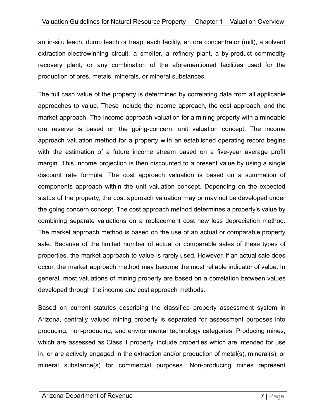an in-situ leach, dump leach or heap leach facility, an ore concentrator (mill), a solvent extraction-electrowinning circuit, a smelter, a refinery plant, a by-product commodity recovery plant, or any combination of the aforementioned facilities used for the production of ores, metals, minerals, or mineral substances.

The full cash value of the property is determined by correlating data from all applicable approaches to value. These include the income approach, the cost approach, and the market approach. The income approach valuation for a mining property with a mineable ore reserve is based on the going-concern, unit valuation concept. The income approach valuation method for a property with an established operating record begins with the estimation of a future income stream based on a five-year average profit margin. This income projection is then discounted to a present value by using a single discount rate formula. The cost approach valuation is based on a summation of components approach within the unit valuation concept. Depending on the expected status of the property, the cost approach valuation may or may not be developed under the going concern concept. The cost approach method determines a property's value by combining separate valuations on a replacement cost new less depreciation method. The market approach method is based on the use of an actual or comparable property sale. Because of the limited number of actual or comparable sales of these types of properties, the market approach to value is rarely used. However, if an actual sale does occur, the market approach method may become the most reliable indicator of value. In general, most valuations of mining property are based on a correlation between values developed through the income and cost approach methods.

Based on current statutes describing the classified property assessment system in Arizona, centrally valued mining property is separated for assessment purposes into producing, non-producing, and environmental technology categories. Producing mines, which are assessed as Class 1 property, include properties which are intended for use in, or are actively engaged in the extraction and/or production of metal(s), mineral(s), or mineral substance(s) for commercial purposes. Non-producing mines represent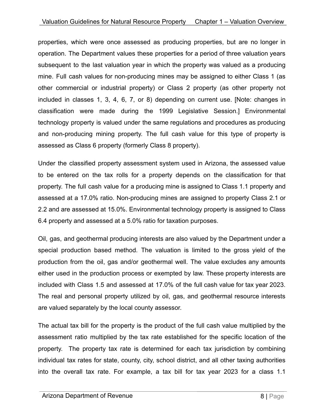properties, which were once assessed as producing properties, but are no longer in operation. The Department values these properties for a period of three valuation years subsequent to the last valuation year in which the property was valued as a producing mine. Full cash values for non-producing mines may be assigned to either Class 1 (as other commercial or industrial property) or Class 2 property (as other property not included in classes 1, 3, 4, 6, 7, or 8) depending on current use. [Note: changes in classification were made during the 1999 Legislative Session.] Environmental technology property is valued under the same regulations and procedures as producing and non-producing mining property. The full cash value for this type of property is assessed as Class 6 property (formerly Class 8 property).

Under the classified property assessment system used in Arizona, the assessed value to be entered on the tax rolls for a property depends on the classification for that property. The full cash value for a producing mine is assigned to Class 1.1 property and assessed at a 17.0% ratio. Non-producing mines are assigned to property Class 2.1 or 2.2 and are assessed at 15.0%. Environmental technology property is assigned to Class 6.4 property and assessed at a 5.0% ratio for taxation purposes.

Oil, gas, and geothermal producing interests are also valued by the Department under a special production based method. The valuation is limited to the gross yield of the production from the oil, gas and/or geothermal well. The value excludes any amounts either used in the production process or exempted by law. These property interests are included with Class 1.5 and assessed at 17.0% of the full cash value for tax year 2023. The real and personal property utilized by oil, gas, and geothermal resource interests are valued separately by the local county assessor.

The actual tax bill for the property is the product of the full cash value multiplied by the assessment ratio multiplied by the tax rate established for the specific location of the property. The property tax rate is determined for each tax jurisdiction by combining individual tax rates for state, county, city, school district, and all other taxing authorities into the overall tax rate. For example, a tax bill for tax year 2023 for a class 1.1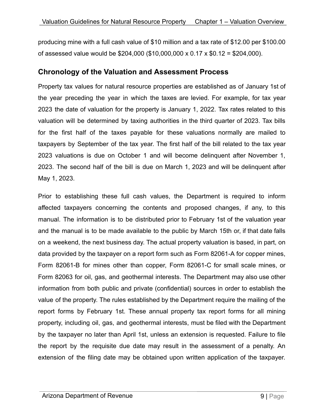producing mine with a full cash value of \$10 million and a tax rate of \$12.00 per \$100.00 of assessed value would be \$204,000 (\$10,000,000 x 0.17 x \$0.12 = \$204,000).

#### <span id="page-9-0"></span>**Chronology of the Valuation and Assessment Process**

Property tax values for natural resource properties are established as of January 1st of the year preceding the year in which the taxes are levied. For example, for tax year 2023 the date of valuation for the property is January 1, 2022. Tax rates related to this valuation will be determined by taxing authorities in the third quarter of 2023. Tax bills for the first half of the taxes payable for these valuations normally are mailed to taxpayers by September of the tax year. The first half of the bill related to the tax year 2023 valuations is due on October 1 and will become delinquent after November 1, 2023. The second half of the bill is due on March 1, 2023 and will be delinquent after May 1, 2023.

Prior to establishing these full cash values, the Department is required to inform affected taxpayers concerning the contents and proposed changes, if any, to this manual. The information is to be distributed prior to February 1st of the valuation year and the manual is to be made available to the public by March 15th or, if that date falls on a weekend, the next business day. The actual property valuation is based, in part, on data provided by the taxpayer on a report form such as Form 82061-A for copper mines, Form 82061-B for mines other than copper, Form 82061-C for small scale mines, or Form 82063 for oil, gas, and geothermal interests. The Department may also use other information from both public and private (confidential) sources in order to establish the value of the property. The rules established by the Department require the mailing of the report forms by February 1st. These annual property tax report forms for all mining property, including oil, gas, and geothermal interests, must be filed with the Department by the taxpayer no later than April 1st, unless an extension is requested. Failure to file the report by the requisite due date may result in the assessment of a penalty. An extension of the filing date may be obtained upon written application of the taxpayer.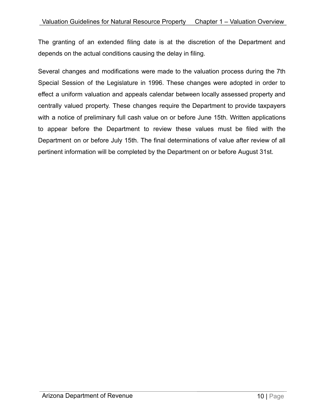The granting of an extended filing date is at the discretion of the Department and depends on the actual conditions causing the delay in filing.

Several changes and modifications were made to the valuation process during the 7th Special Session of the Legislature in 1996. These changes were adopted in order to effect a uniform valuation and appeals calendar between locally assessed property and centrally valued property. These changes require the Department to provide taxpayers with a notice of preliminary full cash value on or before June 15th. Written applications to appear before the Department to review these values must be filed with the Department on or before July 15th. The final determinations of value after review of all pertinent information will be completed by the Department on or before August 31st.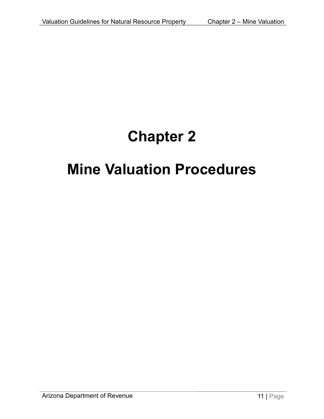## **Chapter 2**

### <span id="page-11-0"></span>**Mine Valuation Procedures**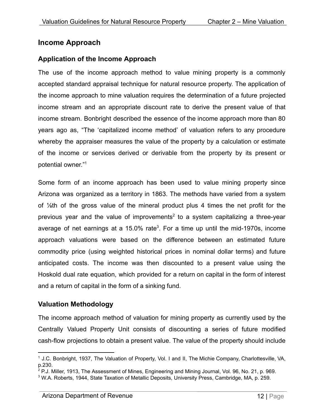#### <span id="page-12-0"></span>**Income Approach**

#### <span id="page-12-1"></span>**Application of the Income Approach**

The use of the income approach method to value mining property is a commonly accepted standard appraisal technique for natural resource property. The application of the income approach to mine valuation requires the determination of a future projected income stream and an appropriate discount rate to derive the present value of that income stream. Bonbright described the essence of the income approach more than 80 years ago as, "The 'capitalized income method' of valuation refers to any procedure whereby the appraiser measures the value of the property by a calculation or estimate of the income or services derived or derivable from the property by its present or potential owner."<sup>1</sup>

Some form of an income approach has been used to value mining property since Arizona was organized as a territory in 1863. The methods have varied from a system of ⅛th of the gross value of the mineral product plus 4 times the net profit for the previous year and the value of improvements<sup>2</sup> to a system capitalizing a three-year average of net earnings at a 15.0% rate<sup>3</sup>. For a time up until the mid-1970s, income approach valuations were based on the difference between an estimated future commodity price (using weighted historical prices in nominal dollar terms) and future anticipated costs. The income was then discounted to a present value using the Hoskold dual rate equation, which provided for a return on capital in the form of interest and a return of capital in the form of a sinking fund.

#### <span id="page-12-2"></span>**Valuation Methodology**

The income approach method of valuation for mining property as currently used by the Centrally Valued Property Unit consists of discounting a series of future modified cash-flow projections to obtain a present value. The value of the property should include

<sup>1</sup> J.C. Bonbright, 1937, The Valuation of Property, Vol. I and II, The Michie Company, Charlottesville, VA, p.230.

 $^{2}$  P.J. Miller, 1913, The Assessment of Mines, Engineering and Mining Journal, Vol. 96, No. 21, p. 969.

<sup>3</sup> W.A. Roberts, 1944, State Taxation of Metallic Deposits, University Press, Cambridge, MA, p. 259.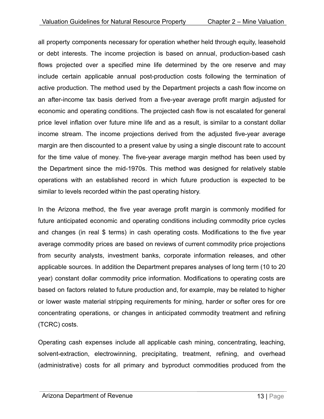all property components necessary for operation whether held through equity, leasehold or debt interests. The income projection is based on annual, production-based cash flows projected over a specified mine life determined by the ore reserve and may include certain applicable annual post-production costs following the termination of active production. The method used by the Department projects a cash flow income on an after-income tax basis derived from a five-year average profit margin adjusted for economic and operating conditions. The projected cash flow is not escalated for general price level inflation over future mine life and as a result, is similar to a constant dollar income stream. The income projections derived from the adjusted five-year average margin are then discounted to a present value by using a single discount rate to account for the time value of money. The five-year average margin method has been used by the Department since the mid-1970s. This method was designed for relatively stable operations with an established record in which future production is expected to be similar to levels recorded within the past operating history.

In the Arizona method, the five year average profit margin is commonly modified for future anticipated economic and operating conditions including commodity price cycles and changes (in real \$ terms) in cash operating costs. Modifications to the five year average commodity prices are based on reviews of current commodity price projections from security analysts, investment banks, corporate information releases, and other applicable sources. In addition the Department prepares analyses of long term (10 to 20 year) constant dollar commodity price information. Modifications to operating costs are based on factors related to future production and, for example, may be related to higher or lower waste material stripping requirements for mining, harder or softer ores for ore concentrating operations, or changes in anticipated commodity treatment and refining (TCRC) costs.

Operating cash expenses include all applicable cash mining, concentrating, leaching, solvent-extraction, electrowinning, precipitating, treatment, refining, and overhead (administrative) costs for all primary and byproduct commodities produced from the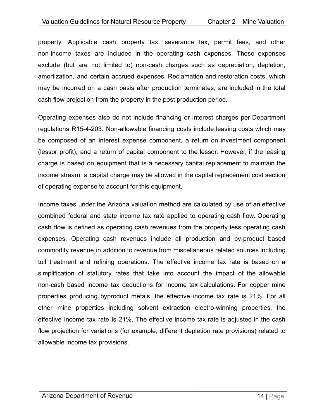property. Applicable cash property tax, severance tax, permit fees, and other non-income taxes are included in the operating cash expenses. These expenses exclude (but are not limited to) non-cash charges such as depreciation, depletion, amortization, and certain accrued expenses. Reclamation and restoration costs, which may be incurred on a cash basis after production terminates, are included in the total cash flow projection from the property in the post production period.

Operating expenses also do not include financing or interest charges per Department regulations R15-4-203. Non-allowable financing costs include leasing costs which may be composed of an interest expense component, a return on investment component (lessor profit), and a return of capital component to the lessor. However, if the leasing charge is based on equipment that is a necessary capital replacement to maintain the income stream, a capital charge may be allowed in the capital replacement cost section of operating expense to account for this equipment.

Income taxes under the Arizona valuation method are calculated by use of an effective combined federal and state income tax rate applied to operating cash flow. Operating cash flow is defined as operating cash revenues from the property less operating cash expenses. Operating cash revenues include all production and by-product based commodity revenue in addition to revenue from miscellaneous related sources including toll treatment and refining operations. The effective income tax rate is based on a simplification of statutory rates that take into account the impact of the allowable non-cash based income tax deductions for income tax calculations. For copper mine properties producing byproduct metals, the effective income tax rate is 21%. For all other mine properties including solvent extraction electro-winning properties, the effective income tax rate is 21%. The effective income tax rate is adjusted in the cash flow projection for variations (for example, different depletion rate provisions) related to allowable income tax provisions.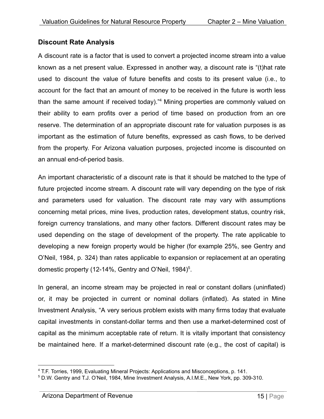#### <span id="page-15-0"></span>**Discount Rate Analysis**

A discount rate is a factor that is used to convert a projected income stream into a value known as a net present value. Expressed in another way, a discount rate is "(t)hat rate used to discount the value of future benefits and costs to its present value (i.e., to account for the fact that an amount of money to be received in the future is worth less than the same amount if received today)."<sup>4</sup> Mining properties are commonly valued on their ability to earn profits over a period of time based on production from an ore reserve. The determination of an appropriate discount rate for valuation purposes is as important as the estimation of future benefits, expressed as cash flows, to be derived from the property. For Arizona valuation purposes, projected income is discounted on an annual end-of-period basis.

An important characteristic of a discount rate is that it should be matched to the type of future projected income stream. A discount rate will vary depending on the type of risk and parameters used for valuation. The discount rate may vary with assumptions concerning metal prices, mine lives, production rates, development status, country risk, foreign currency translations, and many other factors. Different discount rates may be used depending on the stage of development of the property. The rate applicable to developing a new foreign property would be higher (for example 25%, see Gentry and O'Neil, 1984, p. 324) than rates applicable to expansion or replacement at an operating domestic property (12-14%, Gentry and O'Neil, 1984)<sup>5</sup>.

In general, an income stream may be projected in real or constant dollars (uninflated) or, it may be projected in current or nominal dollars (inflated). As stated in Mine Investment Analysis, "A very serious problem exists with many firms today that evaluate capital investments in constant-dollar terms and then use a market-determined cost of capital as the minimum acceptable rate of return. It is vitally important that consistency be maintained here. If a market-determined discount rate (e.g., the cost of capital) is

<sup>4</sup> T.F. Torries, 1999, Evaluating Mineral Projects: Applications and Misconceptions, p. 141.

<sup>5</sup> D.W. Gentry and T.J. O'Neil, 1984, Mine Investment Analysis, A.I.M.E., New York, pp. 309-310.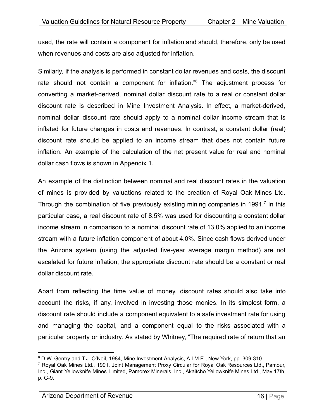used, the rate will contain a component for inflation and should, therefore, only be used when revenues and costs are also adjusted for inflation.

Similarly, if the analysis is performed in constant dollar revenues and costs, the discount rate should not contain a component for inflation." $6$  The adjustment process for converting a market-derived, nominal dollar discount rate to a real or constant dollar discount rate is described in Mine Investment Analysis. In effect, a market-derived, nominal dollar discount rate should apply to a nominal dollar income stream that is inflated for future changes in costs and revenues. In contrast, a constant dollar (real) discount rate should be applied to an income stream that does not contain future inflation. An example of the calculation of the net present value for real and nominal dollar cash flows is shown in Appendix 1.

An example of the distinction between nominal and real discount rates in the valuation of mines is provided by valuations related to the creation of Royal Oak Mines Ltd. Through the combination of five previously existing mining companies in 1991.<sup>7</sup> In this particular case, a real discount rate of 8.5% was used for discounting a constant dollar income stream in comparison to a nominal discount rate of 13.0% applied to an income stream with a future inflation component of about 4.0%. Since cash flows derived under the Arizona system (using the adjusted five-year average margin method) are not escalated for future inflation, the appropriate discount rate should be a constant or real dollar discount rate.

Apart from reflecting the time value of money, discount rates should also take into account the risks, if any, involved in investing those monies. In its simplest form, a discount rate should include a component equivalent to a safe investment rate for using and managing the capital, and a component equal to the risks associated with a particular property or industry. As stated by Whitney, "The required rate of return that an

<sup>6</sup> D.W. Gentry and T.J. O'Neil, 1984, Mine Investment Analysis, A.I.M.E., New York, pp. 309-310.

 $7$  Royal Oak Mines Ltd., 1991, Joint Management Proxy Circular for Royal Oak Resources Ltd., Pamour, Inc., Giant Yellowknife Mines Limited, Pamorex Minerals, Inc., Akaitcho Yellowknife Mines Ltd., May 17th, p. G-9.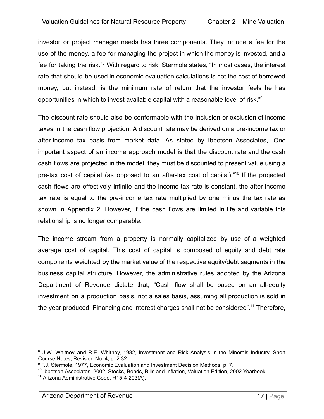investor or project manager needs has three components. They include a fee for the use of the money, a fee for managing the project in which the money is invested, and a fee for taking the risk."<sup>8</sup> With regard to risk, Stermole states, "In most cases, the interest rate that should be used in economic evaluation calculations is not the cost of borrowed money, but instead, is the minimum rate of return that the investor feels he has opportunities in which to invest available capital with a reasonable level of risk."<sup>9</sup>

The discount rate should also be conformable with the inclusion or exclusion of income taxes in the cash flow projection. A discount rate may be derived on a pre-income tax or after-income tax basis from market data. As stated by Ibbotson Associates, "One important aspect of an income approach model is that the discount rate and the cash cash flows are projected in the model, they must be discounted to present value using a pre-tax cost of capital (as opposed to an after-tax cost of capital)."<sup>10</sup> If the projected cash flows are effectively infinite and the income tax rate is constant, the after-income tax rate is equal to the pre-income tax rate multiplied by one minus the tax rate as shown in Appendix 2. However, if the cash flows are limited in life and variable this relationship is no longer comparable.

The income stream from a property is normally capitalized by use of a weighted average cost of capital. This cost of capital is composed of equity and debt rate components weighted by the market value of the respective equity/debt segments in the business capital structure. However, the administrative rules adopted by the Arizona Department of Revenue dictate that, "Cash flow shall be based on an all-equity investment on a production basis, not a sales basis, assuming all production is sold in the year produced. Financing and interest charges shall not be considered".<sup>11</sup> Therefore,

<sup>&</sup>lt;sup>8</sup> J.W. Whitney and R.E. Whitney, 1982, Investment and Risk Analysis in the Minerals Industry, Short Course Notes, Revision No. 4, p. 2.32.

<sup>&</sup>lt;sup>9</sup> F.J. Stermole, 1977, Economic Evaluation and Investment Decision Methods, p. 7.

<sup>&</sup>lt;sup>10</sup> Ibbotson Associates, 2002, Stocks, Bonds, Bills and Inflation, Valuation Edition, 2002 Yearbook.

<sup>&</sup>lt;sup>11</sup> Arizona Administrative Code, R15-4-203(A).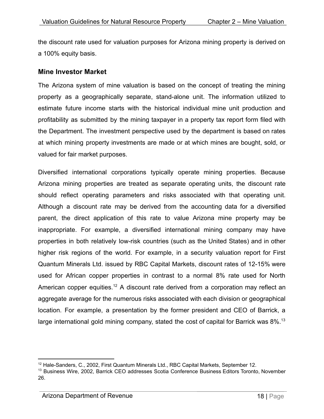the discount rate used for valuation purposes for Arizona mining property is derived on a 100% equity basis.

#### <span id="page-18-0"></span>**Mine Investor Market**

The Arizona system of mine valuation is based on the concept of treating the mining property as a geographically separate, stand-alone unit. The information utilized to estimate future income starts with the historical individual mine unit production and profitability as submitted by the mining taxpayer in a property tax report form filed with the Department. The investment perspective used by the department is based on rates at which mining property investments are made or at which mines are bought, sold, or valued for fair market purposes.

Diversified international corporations typically operate mining properties. Because Arizona mining properties are treated as separate operating units, the discount rate should reflect operating parameters and risks associated with that operating unit. Although a discount rate may be derived from the accounting data for a diversified parent, the direct application of this rate to value Arizona mine property may be inappropriate. For example, a diversified international mining company may have properties in both relatively low-risk countries (such as the United States) and in other higher risk regions of the world. For example, in a security valuation report for First Quantum Minerals Ltd. issued by RBC Capital Markets, discount rates of 12-15% were used for African copper properties in contrast to a normal 8% rate used for North American copper equities.<sup>12</sup> A discount rate derived from a corporation may reflect an aggregate average for the numerous risks associated with each division or geographical location. For example, a presentation by the former president and CEO of Barrick, a large international gold mining company, stated the cost of capital for Barrick was  $8\%$ .<sup>13</sup>

 $12$  Hale-Sanders, C., 2002, First Quantum Minerals Ltd., RBC Capital Markets, September 12.

<sup>&</sup>lt;sup>13</sup> Business Wire, 2002, Barrick CEO addresses Scotia Conference Business Editors Toronto, November 26.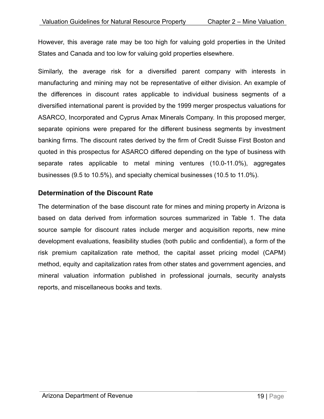However, this average rate may be too high for valuing gold properties in the United States and Canada and too low for valuing gold properties elsewhere.

Similarly, the average risk for a diversified parent company with interests in manufacturing and mining may not be representative of either division. An example of the differences in discount rates applicable to individual business segments of a diversified international parent is provided by the 1999 merger prospectus valuations for ASARCO, Incorporated and Cyprus Amax Minerals Company. In this proposed merger, separate opinions were prepared for the different business segments by investment banking firms. The discount rates derived by the firm of Credit Suisse First Boston and quoted in this prospectus for ASARCO differed depending on the type of business with separate rates applicable to metal mining ventures (10.0-11.0%), aggregates businesses (9.5 to 10.5%), and specialty chemical businesses (10.5 to 11.0%).

#### <span id="page-19-0"></span>**Determination of the Discount Rate**

The determination of the base discount rate for mines and mining property in Arizona is based on data derived from information sources summarized in Table 1. The data source sample for discount rates include merger and acquisition reports, new mine development evaluations, feasibility studies (both public and confidential), a form of the risk premium capitalization rate method, the capital asset pricing model (CAPM) method, equity and capitalization rates from other states and government agencies, and mineral valuation information published in professional journals, security analysts reports, and miscellaneous books and texts.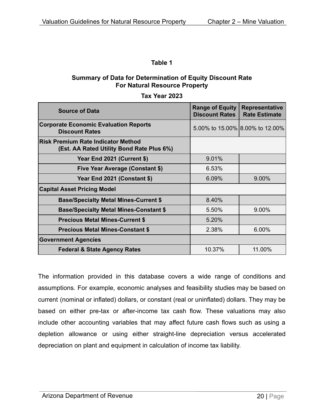#### **Summary of Data for Determination of Equity Discount Rate For Natural Resource Property**

#### **Tax Year 2023**

| <b>Source of Data</b>                                                                  | <b>Range of Equity</b><br><b>Discount Rates</b> | <b>Representative</b><br><b>Rate Estimate</b> |  |
|----------------------------------------------------------------------------------------|-------------------------------------------------|-----------------------------------------------|--|
| <b>Corporate Economic Evaluation Reports</b><br><b>Discount Rates</b>                  |                                                 | 5.00% to 15.00% 8.00% to 12.00%               |  |
| <b>Risk Premium Rate Indicator Method</b><br>(Est. AA Rated Utility Bond Rate Plus 6%) |                                                 |                                               |  |
| Year End 2021 (Current \$)                                                             | 9.01%                                           |                                               |  |
| <b>Five Year Average (Constant \$)</b>                                                 | 6.53%                                           |                                               |  |
| Year End 2021 (Constant \$)                                                            | 6.09%                                           | $9.00\%$                                      |  |
| <b>Capital Asset Pricing Model</b>                                                     |                                                 |                                               |  |
| <b>Base/Specialty Metal Mines-Current \$</b>                                           | 8.40%                                           |                                               |  |
| <b>Base/Specialty Metal Mines-Constant \$</b>                                          | 5.50%                                           | 9.00%                                         |  |
| <b>Precious Metal Mines-Current \$</b>                                                 | 5.20%                                           |                                               |  |
| <b>Precious Metal Mines-Constant \$</b>                                                | 2.38%                                           | 6.00%                                         |  |
| <b>Government Agencies</b>                                                             |                                                 |                                               |  |
| <b>Federal &amp; State Agency Rates</b>                                                | 10.37%                                          | 11.00%                                        |  |

The information provided in this database covers a wide range of conditions and assumptions. For example, economic analyses and feasibility studies may be based on current (nominal or inflated) dollars, or constant (real or uninflated) dollars. They may be based on either pre-tax or after-income tax cash flow. These valuations may also include other accounting variables that may affect future cash flows such as using a depletion allowance or using either straight-line depreciation versus accelerated depreciation on plant and equipment in calculation of income tax liability.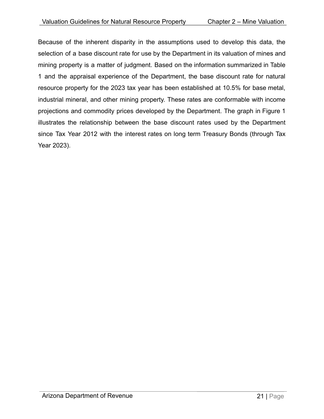Because of the inherent disparity in the assumptions used to develop this data, the selection of a base discount rate for use by the Department in its valuation of mines and mining property is a matter of judgment. Based on the information summarized in Table 1 and the appraisal experience of the Department, the base discount rate for natural resource property for the 2023 tax year has been established at 10.5% for base metal, industrial mineral, and other mining property. These rates are conformable with income projections and commodity prices developed by the Department. The graph in Figure 1 illustrates the relationship between the base discount rates used by the Department since Tax Year 2012 with the interest rates on long term Treasury Bonds (through Tax Year 2023).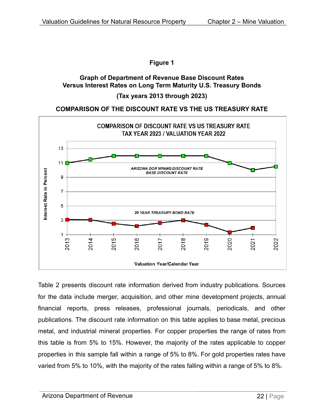#### **Figure 1**

#### **Graph of Department of Revenue Base Discount Rates Versus Interest Rates on Long Term Maturity U.S. Treasury Bonds**

#### **(Tax years 2013 through 2023)**

#### **COMPARISON OF THE DISCOUNT RATE VS THE US TREASURY RATE**



Table 2 presents discount rate information derived from industry publications. Sources for the data include merger, acquisition, and other mine development projects, annual financial reports, press releases, professional journals, periodicals, and other publications. The discount rate information on this table applies to base metal, precious metal, and industrial mineral properties. For copper properties the range of rates from this table is from 5% to 15%. However, the majority of the rates applicable to copper properties in this sample fall within a range of 5% to 8%. For gold properties rates have varied from 5% to 10%, with the majority of the rates falling within a range of 5% to 8%.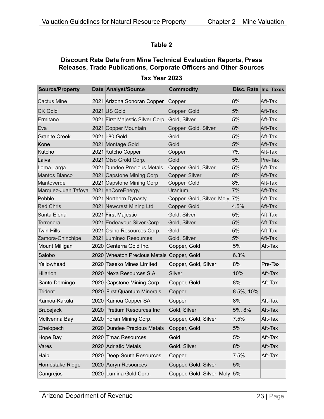#### **Discount Rate Data from Mine Technical Evaluation Reports, Press Releases, Trade Publications, Corporate Officers and Other Sources**

| <b>Source/Property</b> |      | Date Analyst/Source                       | <b>Commodity</b>              | Disc. Rate Inc. Taxes |         |
|------------------------|------|-------------------------------------------|-------------------------------|-----------------------|---------|
| <b>Cactus Mine</b>     |      | 2021 Arizona Sonoran Copper               | Copper                        | 8%                    | Aft-Tax |
| <b>CK Gold</b>         |      | 2021 US Gold                              | Copper, Gold                  | 5%                    | Aft-Tax |
| Ermitano               |      | 2021 First Majestic Silver Corp           | Gold, Silver                  | 5%                    | Aft-Tax |
| Eva                    |      | 2021 Copper Mountain                      | Copper, Gold, Silver          | 8%                    | Aft-Tax |
| <b>Granite Creek</b>   |      | 2021 i-80 Gold                            | Gold                          | 5%                    | Aft-Tax |
| Kone                   |      | 2021 Montage Gold                         | Gold                          | 5%                    | Aft-Tax |
| Kutcho                 |      | 2021 Kutcho Copper                        | Copper                        | 7%                    | Aft-Tax |
| Laiva                  |      | 2021 Otso Grold Corp.                     | Gold                          | 5%                    | Pre-Tax |
| Loma Larga             |      | 2021 Dundee Precious Metals               | Copper, Gold, Silver          | 5%                    | Aft-Tax |
| <b>Mantos Blanco</b>   |      | 2021 Capstone Mining Corp                 | Copper, Silver                | 8%                    | Aft-Tax |
| Mantoverde             |      | 2021 Capstone Mining Corp                 | Copper, Gold                  | 8%                    | Aft-Tax |
| Marquez-Juan Tafoya    |      | 2021 enCoreEnergy                         | Uranium                       | 7%                    | Aft-Tax |
| Pebble                 |      | 2021 Northern Dynasty                     | Copper, Gold, Silver, Moly 7% |                       | Aft-Tax |
| <b>Red Chris</b>       |      | 2021 Newcrest Mining Ltd                  | Copper, Gold                  | 4.5%                  | Aft-Tax |
| Santa Elena            |      | 2021 First Majestic                       | Gold, Silver                  | 5%                    | Aft-Tax |
| Terronera              |      | 2021 Endeavour Silver Corp.               | Gold, Silver                  | 5%                    | Aft-Tax |
| Twin Hills             |      | 2021 Osino Resources Corp.                | Gold                          | 5%                    | Aft-Tax |
| Zamora-Chinchipe       |      | 2021 Luminex Resources                    | Gold, Silver                  | 5%                    | Aft-Tax |
| Mount Milligan         |      | 2020 Centerra Gold Inc.                   | Copper, Gold                  | 5%                    | Aft-Tax |
| Salobo                 |      | 2020 Wheaton Precious Metals Copper, Gold |                               | 6.3%                  |         |
| Yellowhead             |      | 2020 Taseko Mines Limited                 | Copper, Gold, Silver          | 8%                    | Pre-Tax |
| <b>Hilarion</b>        |      | 2020 Nexa Resources S.A.                  | Silver                        | 10%                   | Aft-Tax |
| Santo Domingo          |      | 2020 Capstone Mining Corp                 | Copper, Gold                  | 8%                    | Aft-Tax |
| Trident                |      | 2020 First Quantum Minerals               | Copper                        | 8.5%, 10%             |         |
| Kamoa-Kakula           |      | 2020 Kamoa Copper SA                      | Copper                        | 8%                    | Aft-Tax |
| <b>Brucejack</b>       |      | 2020 Pretium Resources Inc                | Gold, Silver                  | 5%, 8%                | Aft-Tax |
| McIlvenna Bay          |      | 2020 Foran Mining Corp.                   | Copper, Gold, Silver          | 7.5%                  | Aft-Tax |
| Chelopech              |      | 2020 Dundee Precious Metals               | Copper, Gold                  | 5%                    | Aft-Tax |
| Hope Bay               | 2020 | Tmac Resources                            | Gold                          | 5%                    | Aft-Tax |
| Vares                  |      | 2020 Adriatic Metals                      | Gold, Silver                  | 8%                    | Aft-Tax |
| Haib                   |      | 2020 Deep-South Resources                 | Copper                        | 7.5%                  | Aft-Tax |
| Homestake Ridge        |      | 2020 Auryn Resources                      | Copper, Gold, Silver          | 5%                    |         |
| Cangrejos              |      | 2020 Lumina Gold Corp.                    | Copper, Gold, Silver, Moly    | 5%                    |         |

#### **Tax Year 2023**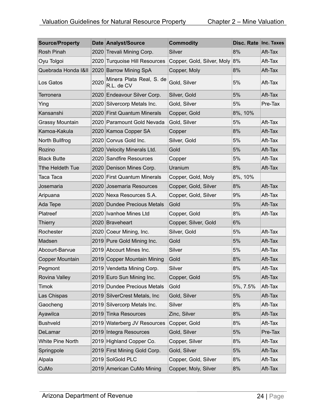| <b>Source/Property</b> |      | Date Analyst/Source                    | <b>Commodity</b>           | Disc. Rate Inc. Taxes |         |
|------------------------|------|----------------------------------------|----------------------------|-----------------------|---------|
| Rosh Pinah             | 2020 | Trevali Mining Corp.                   | Silver                     | 8%                    | Aft-Tax |
| Oyu Tolgoi             | 2020 | <b>Turquoise Hill Resources</b>        | Copper, Gold, Silver, Moly | 8%                    | Aft-Tax |
| Quebrada Honda I&II    |      | 2020 Barrow Mining SpA                 | Copper, Moly               | 8%                    | Aft-Tax |
| Los Gatos              | 2020 | Minera Plata Real, S. de<br>R.L. de CV | Gold, Silver               | 5%                    | Aft-Tax |
| Terronera              |      | 2020 Endeavour Silver Corp.            | Silver, Gold               | 5%                    | Aft-Tax |
| Ying                   |      | 2020 Silvercorp Metals Inc.            | Gold, Silver               | 5%                    | Pre-Tax |
| Kansanshi              |      | 2020 First Quantum Minerals            | Copper, Gold               | 8%, 10%               |         |
| <b>Grassy Mountain</b> |      | 2020 Paramount Gold Nevada             | Gold, Silver               | 5%                    | Aft-Tax |
| Kamoa-Kakula           |      | 2020 Kamoa Copper SA                   | Copper                     | 8%                    | Aft-Tax |
| North Bullfrog         |      | 2020 Corvus Gold Inc.                  | Silver, Gold               | 5%                    | Aft-Tax |
| Rozino                 |      | 2020 Velocity Minerals Ltd.            | Gold                       | 5%                    | Aft-Tax |
| <b>Black Butte</b>     |      | 2020 Sandfire Resources                | Copper                     | 5%                    | Aft-Tax |
| Tthe Heldeth Tue       |      | 2020 Denison Mines Corp.               | Uranium                    | 8%                    | Aft-Tax |
| Taca Taca              |      | 2020 First Quantum Minerals            | Copper, Gold, Moly         | 8%, 10%               |         |
| Josemaria              | 2020 | Josemaria Resources                    | Copper, Gold, Silver       | 8%                    | Aft-Tax |
| Aripuana               |      | 2020 Nexa Resources S.A.               | Copper, Gold, Silver       | 9%                    | Aft-Tax |
| Ada Tepe               |      | 2020 Dundee Precious Metals            | Gold                       | 5%                    | Aft-Tax |
| Platreef               |      | 2020 Ivanhoe Mines Ltd                 | Copper, Gold               | 8%                    | Aft-Tax |
| <b>Thierry</b>         |      | 2020 Braveheart                        | Copper, Silver, Gold       | 6%                    |         |
| Rochester              |      | 2020 Coeur Mining, Inc.                | Silver, Gold               | 5%                    | Aft-Tax |
| Madsen                 |      | 2019 Pure Gold Mining Inc.             | Gold                       | 5%                    | Aft-Tax |
| Abcourt-Barvue         |      | 2019 Abcourt Mines Inc.                | Silver                     | 5%                    | Aft-Tax |
| <b>Copper Mountain</b> |      | 2019 Copper Mountain Mining            | Gold                       | 8%                    | Aft-Tax |
| Pegmont                |      | 2019 Vendetta Mining Corp.             | Silver                     | 8%                    | Aft-Tax |
| Rovina Valley          |      | 2019 Euro Sun Mining Inc.              | Copper, Gold               | 5%                    | Aft-Tax |
| <b>Timok</b>           |      | 2019 Dundee Precious Metals            | Gold                       | 5%, 7.5%              | Aft-Tax |
| Las Chispas            |      | 2019 SilverCrest Metals, Inc.          | Gold, Silver               | 5%                    | Aft-Tax |
| Gaocheng               |      | 2019 Silvercorp Metals Inc.            | Silver                     | 8%                    | Aft-Tax |
| Ayawilca               | 2019 | <b>Tinka Resources</b>                 | Zinc, Silver               | 8%                    | Aft-Tax |
| <b>Bushveld</b>        |      | 2019 Waterberg JV Resources            | Copper, Gold               | 8%                    | Aft-Tax |
| DeLamar                |      | 2019 Integra Resources                 | Gold, Silver               | 5%                    | Pre-Tax |
| White Pine North       |      | 2019 Highland Copper Co.               | Copper, Silver             | 8%                    | Aft-Tax |
| Springpole             |      | 2019 First Mining Gold Corp.           | Gold, Silver               | 5%                    | Aft-Tax |
| Alpala                 |      | 2019 SolGold PLC                       | Copper, Gold, Silver       | 8%                    | Aft-Tax |
| CuMo                   |      | 2019 American CuMo Mining              | Copper, Moly, Silver       | 8%                    | Aft-Tax |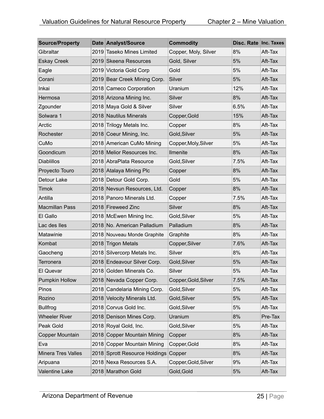| <b>Source/Property</b> | Date Analyst/Source           | <b>Commodity</b>     | Disc. Rate Inc. Taxes |         |
|------------------------|-------------------------------|----------------------|-----------------------|---------|
| Gibraltar              | 2019 Taseko Mines Limited     | Copper, Moly, Silver | 8%                    | Aft-Tax |
| <b>Eskay Creek</b>     | 2019 Skeena Resources         | Gold, Silver         | 5%                    | Aft-Tax |
| Eagle                  | 2019 Victoria Gold Corp       | Gold                 | 5%                    | Aft-Tax |
| Corani                 | 2019 Bear Creek Mining Corp.  | Silver               | 5%                    | Aft-Tax |
| Inkai                  | 2018 Cameco Corporation       | Uranium              | 12%                   | Aft-Tax |
| Hermosa                | 2018 Arizona Mining Inc.      | Silver               | 8%                    | Aft-Tax |
| Zgounder               | 2018 Maya Gold & Silver       | Silver               | 6.5%                  | Aft-Tax |
| Solwara 1              | 2018 Nautilus Minerals        | Copper, Gold         | 15%                   | Aft-Tax |
| Arctic                 | 2018 Trilogy Metals Inc.      | Copper               | 8%                    | Aft-Tax |
| Rochester              | 2018 Coeur Mining, Inc.       | Gold, Silver         | 5%                    | Aft-Tax |
| CuMo                   | 2018 American CuMo Mining     | Copper, Moly, Silver | 5%                    | Aft-Tax |
| Goondicum              | 2018 Melior Resources Inc.    | Ilmenite             | 8%                    | Aft-Tax |
| <b>Diablillos</b>      | 2018 AbraPlata Resource       | Gold, Silver         | 7.5%                  | Aft-Tax |
| Proyecto Touro         | 2018 Atalaya Mining Plc       | Copper               | 8%                    | Aft-Tax |
| Detour Lake            | 2018 Detour Gold Corp.        | Gold                 | 5%                    | Aft-Tax |
| <b>Timok</b>           | 2018 Nevsun Resources, Ltd.   | Copper               | 8%                    | Aft-Tax |
| Antilla                | 2018 Panoro Minerals Ltd.     | Copper               | 7.5%                  | Aft-Tax |
| <b>Macmillan Pass</b>  | 2018 Fireweed Zinc            | Silver               | 8%                    | Aft-Tax |
| El Gallo               | 2018 McEwen Mining Inc.       | Gold, Silver         | 5%                    | Aft-Tax |
| Lac des lles           | 2018 No. American Palladium   | Palladium            | 8%                    | Aft-Tax |
| Matawinie              | 2018 Nouveau Monde Graphite   | Graphite             | 8%                    | Aft-Tax |
| Kombat                 | 2018 Trigon Metals            | Copper, Silver       | 7.6%                  | Aft-Tax |
| Gaocheng               | 2018 Silvercorp Metals Inc.   | Silver               | 8%                    | Aft-Tax |
| Terronera              | 2018 Endeavour Silver Corp.   | Gold, Silver         | 5%                    | Aft-Tax |
| El Quevar              | 2018 Golden Minerals Co.      | Silver               | 5%                    | Aft-Tax |
| <b>Pumpkin Hollow</b>  | 2018 Nevada Copper Corp.      | Copper, Gold, Silver | 7.5%                  | Aft-Tax |
| Pinos                  | 2018 Candelaria Mining Corp.  | Gold, Silver         | 5%                    | Aft-Tax |
| Rozino                 | 2018 Velocity Minerals Ltd.   | Gold, Silver         | 5%                    | Aft-Tax |
| <b>Bullfrog</b>        | 2018 Corvus Gold Inc.         | Gold, Silver         | 5%                    | Aft-Tax |
| <b>Wheeler River</b>   | 2018 Denison Mines Corp.      | Uranium              | 8%                    | Pre-Tax |
| Peak Gold              | 2018 Royal Gold, Inc.         | Gold, Silver         | 5%                    | Aft-Tax |
| Copper Mountain        | 2018 Copper Mountain Mining   | Copper               | 8%                    | Aft-Tax |
| Eva                    | 2018 Copper Mountain Mining   | Copper, Gold         | 8%                    | Aft-Tax |
| Minera Tres Valles     | 2018 Sprott Resource Holdings | Copper               | 8%                    | Aft-Tax |
| Aripuana               | 2018 Nexa Resources S.A.      | Copper, Gold, Silver | 9%                    | Aft-Tax |
| Valentine Lake         | 2018 Marathon Gold            | Gold, Gold           | 5%                    | Aft-Tax |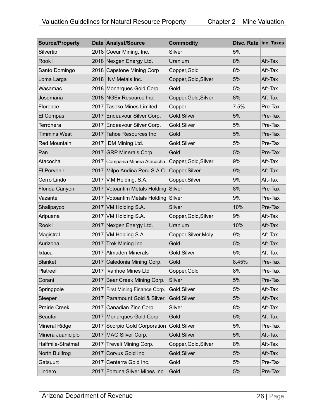| <b>Source/Property</b> |      | Date Analyst/Source             | <b>Commodity</b>     | Disc. Rate Inc. Taxes |         |
|------------------------|------|---------------------------------|----------------------|-----------------------|---------|
| Silvertip              |      | 2018 Coeur Mining, Inc.         | Silver               | 5%                    |         |
| Rook I                 |      | 2018 Nexgen Energy Ltd.         | Uranium              | 8%                    | Aft-Tax |
| Santo Domingo          |      | 2018 Capstone Mining Corp       | Copper, Gold         | 8%                    | Aft-Tax |
| Loma Larga             |      | 2018 INV Metals Inc.            | Copper, Gold, Silver | 5%                    | Aft-Tax |
| Wasamac                |      | 2018 Monarques Gold Corp        | Gold                 | 5%                    | Aft-Tax |
| Josemaria              |      | 2018 NGEx Resource Inc.         | Copper, Gold, Silver | 8%                    | Aft-Tax |
| Florence               |      | 2017 Taseko Mines Limited       | Copper               | 7.5%                  | Pre-Tax |
| El Compas              |      | 2017 Endeavour Silver Corp.     | Gold, Silver         | 5%                    | Pre-Tax |
| Terronera              |      | 2017 Endeavour Silver Corp.     | Gold, Silver         | 5%                    | Pre-Tax |
| <b>Timmins West</b>    |      | 2017 Tahoe Resources Inc        | Gold                 | 5%                    | Pre-Tax |
| <b>Red Mountain</b>    |      | 2017 IDM Mining Ltd.            | Gold, Silver         | 5%                    | Pre-Tax |
| Pan                    |      | 2017 GRP Minerals Corp.         | Gold                 | 5%                    | Pre-Tax |
| Atacocha               |      | 2017 Compania Minera Atacocha   | Copper, Gold, Silver | 9%                    | Aft-Tax |
| <b>El Porvenir</b>     |      | 2017 Milpo Andina Peru S.A.C.   | Copper, Silver       | 9%                    | Aft-Tax |
| Cerro Lindo            |      | 2017 V.M. Holding, S.A.         | Copper, Silver       | 9%                    | Aft-Tax |
| Florida Canyon         |      | 2017 Votoantim Metals Holding   | Silver               | 8%                    | Pre-Tax |
| Vazante                |      | 2017 Votoantim Metals Holding   | Silver               | 9%                    | Pre-Tax |
| Shalipayco             |      | 2017 VM Holding S.A.            | Silver               | 10%                   | Pre-Tax |
| Aripuana               |      | 2017 VM Holding S.A.            | Copper, Gold, Silver | 9%                    | Aft-Tax |
| Rook I                 |      | 2017 Nexgen Energy Ltd.         | Uranium              | 10%                   | Aft-Tax |
| Magistral              |      | 2017 VM Holding S.A.            | Copper, Silver, Moly | 9%                    | Aft-Tax |
| Aurizona               |      | 2017 Trek Mining Inc.           | Gold                 | 5%                    | Aft-Tax |
| Ixtaca                 |      | 2017 Almaden Minerals           | Gold, Silver         | 5%                    | Aft-Tax |
| <b>Blanket</b>         |      | 2017 Caledonia Mining Corp.     | Gold                 | 8.45%                 | Pre-Tax |
| Platreef               |      | 2017   Ivanhoe Mines Ltd        | Copper, Gold         | 8%                    | Pre-Tax |
| Corani                 |      | 2017 Bear Creek Mining Corp.    | Silver               | 5%                    | Pre-Tax |
| Springpole             |      | 2017 First Mining Finance Corp. | Gold, Silver         | 5%                    | Aft-Tax |
| Sleeper                |      | 2017 Paramount Gold & Silver    | Gold, Silver         | 5%                    | Aft-Tax |
| <b>Prairie Creek</b>   |      | 2017 Canadian Zinc Corp.        | Silver               | 8%                    | Aft-Tax |
| <b>Beaufor</b>         |      | 2017 Monarques Gold Corp.       | Gold                 | 5%                    | Aft-Tax |
| <b>Mineral Ridge</b>   |      | 2017 Scorpio Gold Corporation   | Gold, Silver         | 5%                    | Pre-Tax |
| Minera Juanicipio      |      | 2017 MAG Silver Corp.           | Gold, Silver         | 5%                    | Aft-Tax |
| Halfmile-Stratmat      | 2017 | Trevali Mining Corp.            | Copper, Gold, Silver | 8%                    | Aft-Tax |
| North Bullfrog         |      | 2017 Corvus Gold Inc.           | Gold, Silver         | 5%                    | Aft-Tax |
| Gatsuurt               |      | 2017 Centerra Gold Inc.         | Gold                 | 5%                    | Pre-Tax |
| Lindero                |      | 2017 Fortuna Silver Mines Inc.  | Gold                 | 5%                    | Pre-Tax |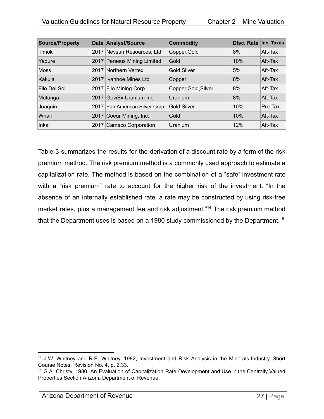| <b>Source/Property</b> |      | Date Analyst/Source            | <b>Commodity</b>     | Disc. Rate Inc. Taxes |         |
|------------------------|------|--------------------------------|----------------------|-----------------------|---------|
| <b>Timok</b>           |      | 2017 Nevsun Resources, Ltd.    | Copper, Gold         | 8%                    | Aft-Tax |
| Yaoure                 |      | 2017 Perseus Mining Limited    | Gold                 | 10%                   | Aft-Tax |
| Moss                   | 2017 | Northern Vertex                | Gold, Silver         | 5%                    | Aft-Tax |
| Kakula                 | 2017 | Ivanhoe Mines Ltd              | Copper               | 8%                    | Aft-Tax |
| Filo Del Sol           |      | 2017 Filo Mining Corp.         | Copper, Gold, Silver | 8%                    | Aft-Tax |
| Mutanga                | 2017 | GoviEx Uranium Inc             | Uranium              | 8%                    | Aft-Tax |
| Joaquin                |      | 2017 Pan American Silver Corp. | Gold, Silver         | 10%                   | Pre-Tax |
| Wharf                  | 2017 | Coeur Mining, Inc.             | Gold                 | 10%                   | Aft-Tax |
| Inkai                  |      | 2017 Cameco Corporation        | Uranium              | 12%                   | Aft-Tax |

Table 3 summarizes the results for the derivation of a discount rate by a form of the risk premium method. The risk premium method is a commonly used approach to estimate a capitalization rate. The method is based on the combination of a "safe" investment rate with a "risk premium" rate to account for the higher risk of the investment. "In the absence of an internally established rate, a rate may be constructed by using risk-free market rates, plus a management fee and risk adjustment."<sup>14</sup> The risk premium method that the Department uses is based on a 1980 study commissioned by the Department.<sup>15</sup>

<sup>&</sup>lt;sup>14</sup> J.W. Whitney and R.E. Whitney, 1982, Investment and Risk Analysis in the Minerals Industry, Short Course Notes, Revision No. 4, p. 2.33.

<sup>&</sup>lt;sup>15</sup> G.A. Christy, 1980, An Evaluation of Capitalization Rate Development and Use in the Centrally Valued Properties Section Arizona Department of Revenue.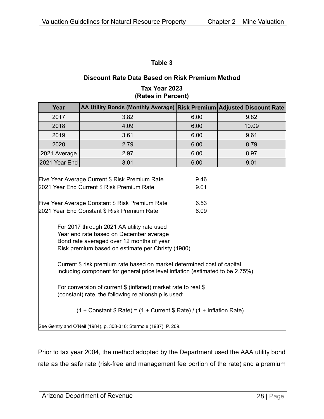#### **Discount Rate Data Based on Risk Premium Method**

| Tax Year 2023      |
|--------------------|
| (Rates in Percent) |

| Year                                                                                                                                                                                    | AA Utility Bonds (Monthly Average) Risk Premium Adjusted Discount Rate                                         |              |       |  |  |
|-----------------------------------------------------------------------------------------------------------------------------------------------------------------------------------------|----------------------------------------------------------------------------------------------------------------|--------------|-------|--|--|
| 2017                                                                                                                                                                                    | 3.82                                                                                                           | 6.00         | 9.82  |  |  |
| 2018                                                                                                                                                                                    | 4.09                                                                                                           | 6.00         | 10.09 |  |  |
| 2019                                                                                                                                                                                    | 3.61                                                                                                           | 6.00         | 9.61  |  |  |
| 2020                                                                                                                                                                                    | 2.79                                                                                                           | 6.00         | 8.79  |  |  |
| 2021 Average                                                                                                                                                                            | 2.97                                                                                                           | 6.00         | 8.97  |  |  |
| 2021 Year End                                                                                                                                                                           | 3.01                                                                                                           | 6.00         | 9.01  |  |  |
|                                                                                                                                                                                         | Five Year Average Current \$ Risk Premium Rate<br>2021 Year End Current \$ Risk Premium Rate                   | 9.46<br>9.01 |       |  |  |
|                                                                                                                                                                                         | Five Year Average Constant \$ Risk Premium Rate<br>6.53<br>2021 Year End Constant \$ Risk Premium Rate<br>6.09 |              |       |  |  |
| For 2017 through 2021 AA utility rate used<br>Year end rate based on December average<br>Bond rate averaged over 12 months of year<br>Risk premium based on estimate per Christy (1980) |                                                                                                                |              |       |  |  |
| Current \$ risk premium rate based on market determined cost of capital<br>including component for general price level inflation (estimated to be 2.75%)                                |                                                                                                                |              |       |  |  |
| For conversion of current \$ (inflated) market rate to real \$<br>(constant) rate, the following relationship is used;                                                                  |                                                                                                                |              |       |  |  |
| $(1 +$ Constant \$ Rate) = $(1 +$ Current \$ Rate) / $(1 +$ Inflation Rate)                                                                                                             |                                                                                                                |              |       |  |  |
|                                                                                                                                                                                         | See Gentry and O'Neil (1984), p. 308-310; Stermole (1987), P. 209.                                             |              |       |  |  |

Prior to tax year 2004, the method adopted by the Department used the AAA utility bond rate as the safe rate (risk-free and management fee portion of the rate) and a premium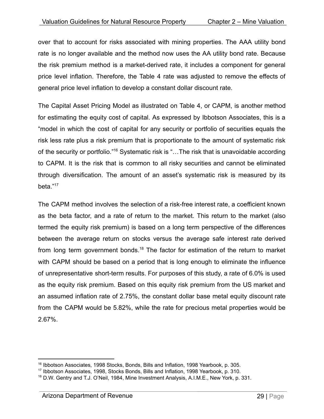over that to account for risks associated with mining properties. The AAA utility bond rate is no longer available and the method now uses the AA utility bond rate. Because the risk premium method is a market-derived rate, it includes a component for general price level inflation. Therefore, the Table 4 rate was adjusted to remove the effects of general price level inflation to develop a constant dollar discount rate.

The Capital Asset Pricing Model as illustrated on Table 4, or CAPM, is another method for estimating the equity cost of capital. As expressed by Ibbotson Associates, this is a "model in which the cost of capital for any security or portfolio of securities equals the risk less rate plus a risk premium that is proportionate to the amount of systematic risk of the security or portfolio."<sup>16</sup> Systematic risk is "...The risk that is unavoidable according to CAPM. It is the risk that is common to all risky securities and cannot be eliminated through diversification. The amount of an asset's systematic risk is measured by its beta."<sup>17</sup>

The CAPM method involves the selection of a risk-free interest rate, a coefficient known as the beta factor, and a rate of return to the market. This return to the market (also termed the equity risk premium) is based on a long term perspective of the differences between the average return on stocks versus the average safe interest rate derived from long term government bonds.<sup>18</sup> The factor for estimation of the return to market with CAPM should be based on a period that is long enough to eliminate the influence of unrepresentative short-term results. For purposes of this study, a rate of 6.0% is used as the equity risk premium. Based on this equity risk premium from the US market and an assumed inflation rate of 2.75%, the constant dollar base metal equity discount rate from the CAPM would be 5.82%, while the rate for precious metal properties would be 2.67%.

<sup>16</sup> Ibbotson Associates, 1998 Stocks, Bonds, Bills and Inflation, 1998 Yearbook, p. 305.

<sup>&</sup>lt;sup>17</sup> Ibbotson Associates, 1998, Stocks Bonds, Bills and Inflation, 1998 Yearbook, p. 310.

<sup>&</sup>lt;sup>18</sup> D.W. Gentry and T.J. O'Neil, 1984, Mine Investment Analysis, A.I.M.E., New York, p. 331.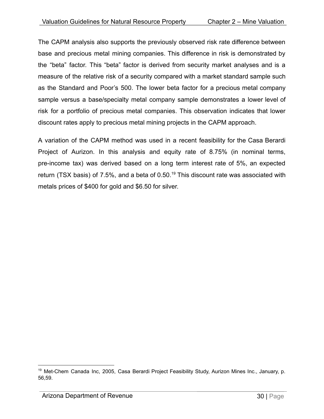The CAPM analysis also supports the previously observed risk rate difference between base and precious metal mining companies. This difference in risk is demonstrated by the "beta" factor. This "beta" factor is derived from security market analyses and is a measure of the relative risk of a security compared with a market standard sample such as the Standard and Poor's 500. The lower beta factor for a precious metal company sample versus a base/specialty metal company sample demonstrates a lower level of risk for a portfolio of precious metal companies. This observation indicates that lower discount rates apply to precious metal mining projects in the CAPM approach.

A variation of the CAPM method was used in a recent feasibility for the Casa Berardi Project of Aurizon. In this analysis and equity rate of 8.75% (in nominal terms, pre-income tax) was derived based on a long term interest rate of 5%, an expected return (TSX basis) of 7.5%, and a beta of 0.50.<sup>19</sup> This discount rate was associated with metals prices of \$400 for gold and \$6.50 for silver.

<sup>&</sup>lt;sup>19</sup> Met-Chem Canada Inc, 2005, Casa Berardi Project Feasibility Study, Aurizon Mines Inc., January, p. 56,59.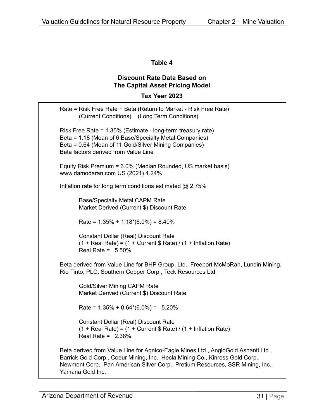#### **Discount Rate Data Based on The Capital Asset Pricing Model**

#### **Tax Year 2023**

| Rate = Risk Free Rate + Beta (Return to Market - Risk Free Rate)<br>(Current Conditions) (Long Term Conditions)                                                                                                                                                          |
|--------------------------------------------------------------------------------------------------------------------------------------------------------------------------------------------------------------------------------------------------------------------------|
| Risk Free Rate = 1.35% (Estimate - long-term treasury rate)<br>Beta = 1.18 (Mean of 6 Base/Specialty Metal Companies)<br>Beta = 0.64 (Mean of 11 Gold/Silver Mining Companies)<br>Beta factors derived from Value Line                                                   |
| Equity Risk Premium = 6.0% (Median Rounded, US market basis)<br>www.damodaran.com US (2021) 4.24%                                                                                                                                                                        |
| Inflation rate for long term conditions estimated @ 2.75%                                                                                                                                                                                                                |
| <b>Base/Specialty Metal CAPM Rate</b><br>Market Derived (Current \$) Discount Rate                                                                                                                                                                                       |
| Rate = $1.35\% + 1.18*(6.0\%) = 8.40\%$                                                                                                                                                                                                                                  |
| <b>Constant Dollar (Real) Discount Rate</b><br>$(1 + Real Rate) = (1 + Current $ Rate) / (1 + Inflation Rate)$<br>Real Rate = $5.50\%$                                                                                                                                   |
| Beta derived from Value Line for BHP Group, Ltd., Freeport McMoRan, Lundin Mining,<br>Rio Tinto, PLC, Southern Copper Corp., Teck Resources Ltd.                                                                                                                         |
| <b>Gold/Silver Mining CAPM Rate</b><br>Market Derived (Current \$) Discount Rate                                                                                                                                                                                         |
| Rate = $1.35\% + 0.64*(6.0\%) = 5.20\%$                                                                                                                                                                                                                                  |
| <b>Constant Dollar (Real) Discount Rate</b><br>$(1 + Real Rate) = (1 + Current $ Rate) / (1 + Inflation Rate)$<br>Real Rate = $2.38%$                                                                                                                                    |
| Beta derived from Value Line for Agnico-Eagle Mines Ltd., AngloGold Ashanti Ltd.,<br>Barrick Gold Corp., Coeur Mining, Inc., Hecla Mining Co., Kinross Gold Corp.,<br>Newmont Corp., Pan American Silver Corp., Pretium Resources, SSR Mining, Inc.,<br>Yamana Gold Inc. |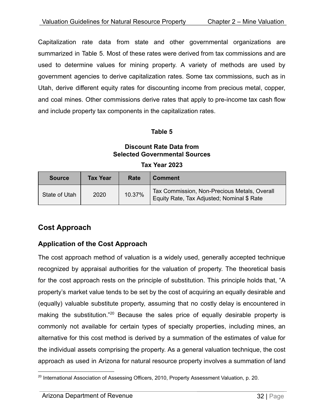Capitalization rate data from state and other governmental organizations are summarized in Table 5. Most of these rates were derived from tax commissions and are used to determine values for mining property. A variety of methods are used by government agencies to derive capitalization rates. Some tax commissions, such as in Utah, derive different equity rates for discounting income from precious metal, copper, and coal mines. Other commissions derive rates that apply to pre-income tax cash flow and include property tax components in the capitalization rates.

#### **Table 5**

#### **Discount Rate Data from Selected Governmental Sources**

| <b>Source</b> | <b>Tax Year</b> | Rate   | <b>Comment</b>                                                                             |
|---------------|-----------------|--------|--------------------------------------------------------------------------------------------|
| State of Utah | 2020            | 10.37% | Tax Commission, Non-Precious Metals, Overall<br>Equity Rate, Tax Adjusted; Nominal \$ Rate |

#### **Tax Year 2023**

#### <span id="page-32-0"></span>**Cost Approach**

#### <span id="page-32-1"></span>**Application of the Cost Approach**

The cost approach method of valuation is a widely used, generally accepted technique recognized by appraisal authorities for the valuation of property. The theoretical basis for the cost approach rests on the principle of substitution. This principle holds that, "A property's market value tends to be set by the cost of acquiring an equally desirable and (equally) valuable substitute property, assuming that no costly delay is encountered in making the substitution."<sup>20</sup> Because the sales price of equally desirable property is commonly not available for certain types of specialty properties, including mines, an alternative for this cost method is derived by a summation of the estimates of value for the individual assets comprising the property. As a general valuation technique, the cost approach as used in Arizona for natural resource property involves a summation of land

<sup>&</sup>lt;sup>20</sup> International Association of Assessing Officers, 2010, Property Assessment Valuation, p. 20.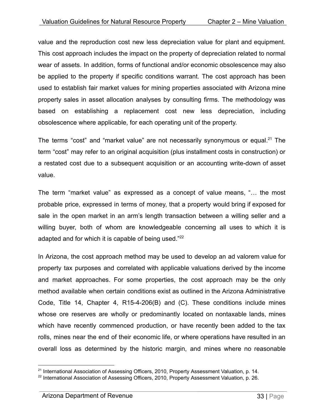value and the reproduction cost new less depreciation value for plant and equipment. This cost approach includes the impact on the property of depreciation related to normal wear of assets. In addition, forms of functional and/or economic obsolescence may also be applied to the property if specific conditions warrant. The cost approach has been used to establish fair market values for mining properties associated with Arizona mine property sales in asset allocation analyses by consulting firms. The methodology was based on establishing a replacement cost new less depreciation, including obsolescence where applicable, for each operating unit of the property.

The terms "cost" and "market value" are not necessarily synonymous or equal.<sup>21</sup> The term "cost" may refer to an original acquisition (plus installment costs in construction) or a restated cost due to a subsequent acquisition or an accounting write-down of asset value.

The term "market value" as expressed as a concept of value means, "… the most probable price, expressed in terms of money, that a property would bring if exposed for sale in the open market in an arm's length transaction between a willing seller and a willing buyer, both of whom are knowledgeable concerning all uses to which it is adapted and for which it is capable of being used."<sup>22</sup>

In Arizona, the cost approach method may be used to develop an ad valorem value for property tax purposes and correlated with applicable valuations derived by the income and market approaches. For some properties, the cost approach may be the only method available when certain conditions exist as outlined in the Arizona Administrative Code, Title 14, Chapter 4, R15-4-206(B) and (C). These conditions include mines whose ore reserves are wholly or predominantly located on nontaxable lands, mines which have recently commenced production, or have recently been added to the tax rolls, mines near the end of their economic life, or where operations have resulted in an overall loss as determined by the historic margin, and mines where no reasonable

<sup>&</sup>lt;sup>21</sup> International Association of Assessing Officers, 2010, Property Assessment Valuation, p. 14.

<sup>&</sup>lt;sup>22</sup> International Association of Assessing Officers, 2010, Property Assessment Valuation, p. 26.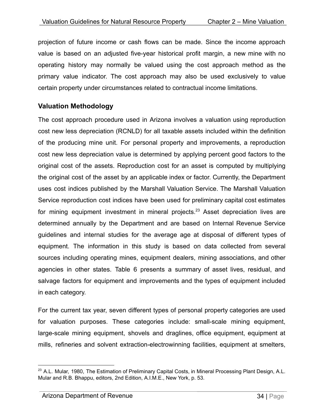projection of future income or cash flows can be made. Since the income approach value is based on an adjusted five-year historical profit margin, a new mine with no operating history may normally be valued using the cost approach method as the primary value indicator. The cost approach may also be used exclusively to value certain property under circumstances related to contractual income limitations.

#### <span id="page-34-0"></span>**Valuation Methodology**

The cost approach procedure used in Arizona involves a valuation using reproduction cost new less depreciation (RCNLD) for all taxable assets included within the definition of the producing mine unit. For personal property and improvements, a reproduction cost new less depreciation value is determined by applying percent good factors to the original cost of the assets. Reproduction cost for an asset is computed by multiplying the original cost of the asset by an applicable index or factor. Currently, the Department uses cost indices published by the Marshall Valuation Service. The Marshall Valuation Service reproduction cost indices have been used for preliminary capital cost estimates for mining equipment investment in mineral projects.<sup>23</sup> Asset depreciation lives are determined annually by the Department and are based on Internal Revenue Service guidelines and internal studies for the average age at disposal of different types of equipment. The information in this study is based on data collected from several sources including operating mines, equipment dealers, mining associations, and other agencies in other states. Table 6 presents a summary of asset lives, residual, and salvage factors for equipment and improvements and the types of equipment included in each category.

For the current tax year, seven different types of personal property categories are used for valuation purposes. These categories include: small-scale mining equipment, large-scale mining equipment, shovels and draglines, office equipment, equipment at mills, refineries and solvent extraction-electrowinning facilities, equipment at smelters,

<sup>&</sup>lt;sup>23</sup> A.L. Mular, 1980, The Estimation of Preliminary Capital Costs, in Mineral Processing Plant Design, A.L. Mular and R.B. Bhappu, editors, 2nd Edition, A.I.M.E., New York, p. 53.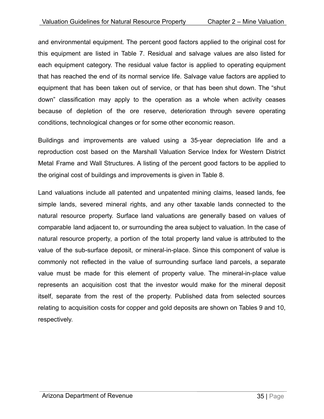and environmental equipment. The percent good factors applied to the original cost for this equipment are listed in Table 7. Residual and salvage values are also listed for each equipment category. The residual value factor is applied to operating equipment that has reached the end of its normal service life. Salvage value factors are applied to equipment that has been taken out of service, or that has been shut down. The "shut down" classification may apply to the operation as a whole when activity ceases because of depletion of the ore reserve, deterioration through severe operating conditions, technological changes or for some other economic reason.

Buildings and improvements are valued using a 35-year depreciation life and a reproduction cost based on the Marshall Valuation Service Index for Western District Metal Frame and Wall Structures. A listing of the percent good factors to be applied to the original cost of buildings and improvements is given in Table 8.

Land valuations include all patented and unpatented mining claims, leased lands, fee simple lands, severed mineral rights, and any other taxable lands connected to the natural resource property. Surface land valuations are generally based on values of comparable land adjacent to, or surrounding the area subject to valuation. In the case of natural resource property, a portion of the total property land value is attributed to the value of the sub-surface deposit, or mineral-in-place. Since this component of value is commonly not reflected in the value of surrounding surface land parcels, a separate value must be made for this element of property value. The mineral-in-place value represents an acquisition cost that the investor would make for the mineral deposit itself, separate from the rest of the property. Published data from selected sources relating to acquisition costs for copper and gold deposits are shown on Tables 9 and 10, respectively.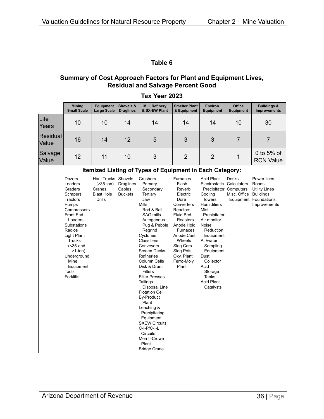#### **Summary of Cost Approach Factors for Plant and Equipment Lives, Residual and Salvage Percent Good**

|                          | <b>Mining</b><br><b>Small Scale</b>                                                                                                                                                                                                                                                    | Equipment<br><b>Large Scale</b>                                                        | Shovels &<br><b>Draglines</b>                | Mill, Refinery<br>& SX-EW Plant                                                                                                                                                                                                                                                                                                                                                                                                                                                                                                    | <b>Smelter Plant</b><br>& Equipment                                                                                                                                                                                                        | Environ.<br><b>Equipment</b>                                                                                                                                                                                                                                                                                                         | <b>Office</b><br><b>Equipment</b> | <b>Buildings &amp;</b><br>Improvements                                                                    |
|--------------------------|----------------------------------------------------------------------------------------------------------------------------------------------------------------------------------------------------------------------------------------------------------------------------------------|----------------------------------------------------------------------------------------|----------------------------------------------|------------------------------------------------------------------------------------------------------------------------------------------------------------------------------------------------------------------------------------------------------------------------------------------------------------------------------------------------------------------------------------------------------------------------------------------------------------------------------------------------------------------------------------|--------------------------------------------------------------------------------------------------------------------------------------------------------------------------------------------------------------------------------------------|--------------------------------------------------------------------------------------------------------------------------------------------------------------------------------------------------------------------------------------------------------------------------------------------------------------------------------------|-----------------------------------|-----------------------------------------------------------------------------------------------------------|
| Life<br>Years            | 10                                                                                                                                                                                                                                                                                     | 10                                                                                     | 14                                           | 14                                                                                                                                                                                                                                                                                                                                                                                                                                                                                                                                 | 14                                                                                                                                                                                                                                         | 14                                                                                                                                                                                                                                                                                                                                   | 10                                | 30                                                                                                        |
| <b>Residual</b><br>Value | 16                                                                                                                                                                                                                                                                                     | 14                                                                                     | 12                                           | 5                                                                                                                                                                                                                                                                                                                                                                                                                                                                                                                                  | 3                                                                                                                                                                                                                                          | 3                                                                                                                                                                                                                                                                                                                                    | $\overline{7}$                    | $\overline{7}$                                                                                            |
| Salvage<br>Value         | 12                                                                                                                                                                                                                                                                                     | 11                                                                                     | 10                                           | 3                                                                                                                                                                                                                                                                                                                                                                                                                                                                                                                                  | $\overline{2}$                                                                                                                                                                                                                             | $\overline{2}$                                                                                                                                                                                                                                                                                                                       | 1                                 | 0 to $5%$ of<br><b>RCN Value</b>                                                                          |
|                          |                                                                                                                                                                                                                                                                                        |                                                                                        |                                              | Itemized Listing of Types of Equipment in Each Category:                                                                                                                                                                                                                                                                                                                                                                                                                                                                           |                                                                                                                                                                                                                                            |                                                                                                                                                                                                                                                                                                                                      |                                   |                                                                                                           |
|                          | <b>Dozers</b><br>Loaders<br>Graders<br>Scrapers<br>Tractors<br>Pumps<br>Compressors<br><b>Front End</b><br>Loaders<br>Substations<br>Radios<br><b>Light Plant</b><br><b>Trucks</b><br>$(35-and)$<br>$>1$ -ton)<br>Underground<br>Mine<br>Equipment<br><b>Tools</b><br><b>Forklifts</b> | Haul Trucks Shovels<br>$($ >35-ton $)$<br>Cranes<br><b>Blast Hole</b><br><b>Drills</b> | <b>Draglines</b><br>Cables<br><b>Buckets</b> | Crushers<br>Primary<br>Secondary<br>Tertiary<br>Jaw<br><b>Mills</b><br>Rod & Ball<br>SAG mills<br>Autogenous<br>Pug & Pebble<br>Regrind<br>Cyclones<br>Classifiers<br>Conveyors<br><b>Screen Decks</b><br>Refineries<br>Column Cells<br>Disk & Drum<br><b>Filters</b><br><b>Filter Presses</b><br>Tailings<br>Disposal Line<br><b>Flotation Cell</b><br><b>By-Product</b><br>Plant<br>Leaching &<br>Precipitating<br>Equipment<br><b>SXEW Circuits</b><br>C-I-P/C-I-L<br>Circuits<br>Merrill-Crowe<br>Plant<br><b>Bridge Crane</b> | <b>Furnaces</b><br>Flash<br>Reverb<br>Electric<br>Doré<br>Converters<br>Reactors<br><b>Fluid Bed</b><br>Roasters<br>Anode Hold.<br><b>Furnaces</b><br>Anode Cast.<br>Wheels<br>Slag Cars<br>Slag Pots<br>Oxy. Plant<br>Ferro-Moly<br>Plant | <b>Acid Plant</b><br>Electrostatic Calculators<br>Precipitator Computers<br>Cooling<br><b>Towers</b><br><b>Humidifiers</b><br>Mist<br>Precipitator<br>Air monitor<br>Noise<br>Reduction<br>Equipment<br>Air/water<br>Sampling<br>Equipment<br>Dust<br>Collector<br>Acid<br>Storage<br><b>Tanks</b><br><b>Acid Plant</b><br>Catalysts | <b>Desks</b><br>Misc. Office      | Power lines<br>Roads<br><b>Utility Lines</b><br><b>Buildings</b><br>Equipment Foundations<br>Improvements |

#### **Tax Year 2023**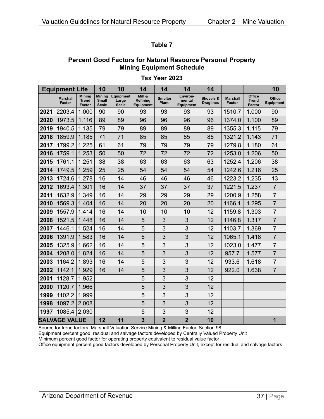#### **Percent Good Factors for Natural Resource Personal Property Mining Equipment Schedule**

#### **Tax Year 2023**

|      | <b>Equipment Life</b>     |                                                | 10                                     | 10                                        | 14                                     | 14                             | 14                                     | 14                            |                                  |                                         | 10                                |
|------|---------------------------|------------------------------------------------|----------------------------------------|-------------------------------------------|----------------------------------------|--------------------------------|----------------------------------------|-------------------------------|----------------------------------|-----------------------------------------|-----------------------------------|
|      | <b>Marshall</b><br>Factor | <b>Minina</b><br><b>Trend</b><br><b>Factor</b> | Mining<br><b>Small</b><br><b>Scale</b> | <b>Equipment</b><br>Large<br><b>Scale</b> | Mill &<br>Refining<br><b>Equipment</b> | <b>Smelter</b><br><b>Plant</b> | Environ-<br>mental<br><b>Equipment</b> | Shovels &<br><b>Draglines</b> | <b>Marshall</b><br><b>Factor</b> | Office<br><b>Trend</b><br><b>Factor</b> | <b>Office</b><br><b>Equipment</b> |
| 2021 | 2203.4                    | 1.000                                          | 90                                     | 90                                        | 93                                     | 93                             | 93                                     | 93                            | 1510.7                           | 1.000                                   | 90                                |
| 2020 | 1973.5                    | 1.116                                          | 89                                     | 89                                        | 96                                     | 96                             | 96                                     | 96                            | 1374.0                           | 1.100                                   | 89                                |
| 2019 | 1940.5                    | 1.135                                          | 79                                     | 79                                        | 89                                     | 89                             | 89                                     | 89                            | 1355.3                           | 1.115                                   | 79                                |
| 2018 | 1859.9                    | 1.185                                          | 71                                     | 71                                        | 85                                     | 85                             | 85                                     | 85                            | 1321.2                           | 1.143                                   | 71                                |
| 2017 | 1799.2                    | 1.225                                          | 61                                     | 61                                        | 79                                     | 79                             | 79                                     | 79                            | 1279.8                           | 1.180                                   | 61                                |
| 2016 | 1759.1                    | 1.253                                          | 50                                     | 50                                        | 72                                     | 72                             | 72                                     | 72                            | 1253.0                           | 1.206                                   | 50                                |
| 2015 | 1761.1                    | 1.251                                          | 38                                     | 38                                        | 63                                     | 63                             | 63                                     | 63                            | 1252.4                           | 1.206                                   | 38                                |
| 2014 | 1749.5                    | 1.259                                          | 25                                     | 25                                        | 54                                     | 54                             | 54                                     | 54                            | 1242.6                           | 1.216                                   | 25                                |
| 2013 | 1724.6                    | 1.278                                          | 16                                     | 14                                        | 46                                     | 46                             | 46                                     | 46                            | 1223.2                           | 1.235                                   | 13                                |
| 2012 | 1693.4                    | 1.301                                          | 16                                     | 14                                        | 37                                     | 37                             | 37                                     | 37                            | 1221.5                           | 1.237                                   | $\overline{7}$                    |
| 2011 | 1632.9                    | 1.349                                          | 16                                     | 14                                        | 29                                     | 29                             | 29                                     | 29                            | 1200.9                           | 1.258                                   | $\overline{7}$                    |
| 2010 | 1569.3                    | 1.404                                          | 16                                     | 14                                        | 20                                     | 20                             | 20                                     | 20                            | 1166.1                           | 1.295                                   | $\overline{7}$                    |
| 2009 | 1557.9                    | 1.414                                          | 16                                     | 14                                        | 10                                     | 10                             | 10                                     | 12                            | 1159.8                           | 1.303                                   | $\overline{7}$                    |
| 2008 | 1521.5                    | 1.448                                          | 16                                     | 14                                        | 5                                      | 3                              | 3                                      | 12                            | 1146.8                           | 1.317                                   | $\overline{7}$                    |
| 2007 | 1446.1                    | 1.524                                          | 16                                     | 14                                        | 5                                      | 3                              | 3                                      | 12                            | 1103.7                           | 1.369                                   | $\overline{7}$                    |
| 2006 | 1391.9                    | 1.583                                          | 16                                     | 14                                        | 5                                      | 3                              | 3                                      | 12                            | 1065.1                           | 1.418                                   | $\overline{7}$                    |
| 2005 | 1325.9                    | 1.662                                          | 16                                     | 14                                        | 5                                      | 3                              | 3                                      | 12                            | 1023.0                           | 1.477                                   | $\overline{7}$                    |
| 2004 | 1208.0                    | 1.824                                          | 16                                     | 14                                        | 5                                      | 3                              | 3                                      | 12                            | 957.7                            | 1.577                                   | $\overline{7}$                    |
| 2003 | 1164.2                    | 1.893                                          | 16                                     | 14                                        | 5                                      | 3                              | 3                                      | 12                            | 933.6                            | 1.618                                   | $\overline{7}$                    |
| 2002 | 1142.1                    | 1.929                                          | 16                                     | 14                                        | 5                                      | 3                              | 3                                      | 12                            | 922.0                            | 1.638                                   | $\overline{7}$                    |
| 2001 | 1128.7                    | 1.952                                          |                                        |                                           | 5                                      | 3                              | 3                                      | 12                            |                                  |                                         |                                   |
| 2000 | 1120.7                    | 1.966                                          |                                        |                                           | 5                                      | 3                              | 3                                      | 12                            |                                  |                                         |                                   |
| 1999 | 1102.2                    | 1.999                                          |                                        |                                           | 5                                      | 3                              | 3                                      | 12                            |                                  |                                         |                                   |
| 1998 | 1097.2                    | 2.008                                          |                                        |                                           | 5                                      | 3                              | 3                                      | 12                            |                                  |                                         |                                   |
| 1997 | 1085.4                    | 2.030                                          |                                        |                                           | 5                                      | 3                              | 3                                      | 12                            |                                  |                                         |                                   |
|      | <b>SALVAGE VALUE</b>      |                                                | 12                                     | 11                                        | 3                                      | $\overline{2}$                 | $\overline{2}$                         | 10                            |                                  |                                         | 1                                 |

Source for trend factors: Marshall Valuation Service Mining & Milling Factor, Section 98

Equipment percent good, residual and salvage factors developed by Centrally Valued Property Unit

Minimum percent good factor for operating property equivalent to residual value factor

Office equipment percent good factors developed by Personal Property Unit, except for residual and salvage factors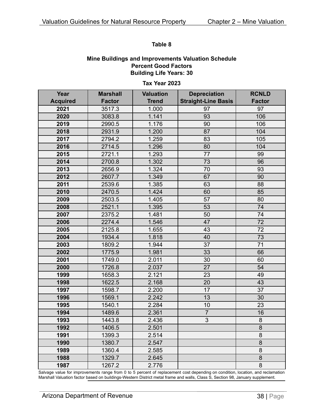#### **Mine Buildings and Improvements Valuation Schedule Percent Good Factors Building Life Years: 30**

#### **Tax Year 2023**

| Year            | <b>Marshall</b> | <b>Valuation</b> | <b>Depreciation</b>        | <b>RCNLD</b>   |
|-----------------|-----------------|------------------|----------------------------|----------------|
| <b>Acquired</b> | <b>Factor</b>   | <b>Trend</b>     | <b>Straight-Line Basis</b> | <b>Factor</b>  |
| 2021            | 3517.3          | 1.000            | 97                         | 97             |
| 2020            | 3083.8          | 1.141            | 93                         | 106            |
| 2019            | 2990.5          | 1.176            | 90                         | 106            |
| 2018            | 2931.9          | 1.200            | 87                         | 104            |
| 2017            | 2794.2          | 1.259            | 83                         | 105            |
| 2016            | 2714.5          | 1.296            | 80                         | 104            |
| 2015            | 2721.1          | 1.293            | 77                         | 99             |
| 2014            | 2700.8          | 1.302            | 73                         | 96             |
| 2013            | 2656.9          | 1.324            | 70                         | 93             |
| 2012            | 2607.7          | 1.349            | 67                         | 90             |
| 2011            | 2539.6          | 1.385            | 63                         | 88             |
| 2010            | 2470.5          | 1.424            | 60                         | 85             |
| 2009            | 2503.5          | 1.405            | 57                         | 80             |
| 2008            | 2521.1          | 1.395            | 53                         | 74             |
| 2007            | 2375.2          | 1.481            | 50                         | 74             |
| 2006            | 2274.4          | 1.546            | 47                         | 72             |
| 2005            | 2125.8          | 1.655            | 43                         | 72             |
| 2004            | 1934.4          | 1.818            | 40                         | 73             |
| 2003            | 1809.2          | 1.944            | 37                         | 71             |
| 2002            | 1775.9          | 1.981            | 33                         | 66             |
| 2001            | 1749.0          | 2.011            | 30                         | 60             |
| 2000            | 1726.8          | 2.037            | 27                         | 54             |
| 1999            | 1658.3          | 2.121            | 23                         | 49             |
| 1998            | 1622.5          | 2.168            | 20                         | 43             |
| 1997            | 1598.7          | 2.200            | 17                         | 37             |
| 1996            | 1569.1          | 2.242            | 13                         | 30             |
| 1995            | 1540.1          | 2.284            | 10                         | 23             |
| 1994            | 1489.6          | 2.361            | $\overline{7}$             | 16             |
| 1993            | 1443.8          | 2.436            | 3                          | $\bf 8$        |
| 1992            | 1406.5          | 2.501            |                            | $\overline{8}$ |
| 1991            | 1399.3          | 2.514            |                            | 8              |
| 1990            | 1380.7          | 2.547            |                            | 8              |
| 1989            | 1360.4          | 2.585            |                            | 8              |
| 1988            | 1329.7          | 2.645            |                            | 8              |
| 1987            | 1267.2          | 2.776            |                            | 8              |

Salvage value for improvements range from 0 to 5 percent of replacement cost depending on condition, location, and reclamation Marshall Valuation factor based on buildings-Western District metal frame and walls, Class S, Section 98, January supplement.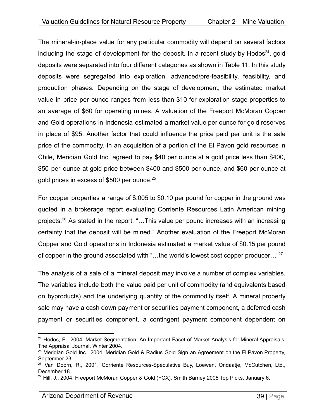The mineral-in-place value for any particular commodity will depend on several factors including the stage of development for the deposit. In a recent study by Hodos<sup>24</sup>, gold deposits were separated into four different categories as shown in Table 11. In this study deposits were segregated into exploration, advanced/pre-feasibility, feasibility, and production phases. Depending on the stage of development, the estimated market value in price per ounce ranges from less than \$10 for exploration stage properties to an average of \$60 for operating mines. A valuation of the Freeport McMoran Copper and Gold operations in Indonesia estimated a market value per ounce for gold reserves in place of \$95. Another factor that could influence the price paid per unit is the sale price of the commodity. In an acquisition of a portion of the El Pavon gold resources in Chile, Meridian Gold Inc. agreed to pay \$40 per ounce at a gold price less than \$400, \$50 per ounce at gold price between \$400 and \$500 per ounce, and \$60 per ounce at gold prices in excess of \$500 per ounce.<sup>25</sup>

For copper properties a range of \$.005 to \$0.10 per pound for copper in the ground was quoted in a brokerage report evaluating Corriente Resources Latin American mining projects.<sup>26</sup> As stated in the report, "...This value per pound increases with an increasing certainty that the deposit will be mined." Another evaluation of the Freeport McMoran Copper and Gold operations in Indonesia estimated a market value of \$0.15 per pound of copper in the ground associated with "...the world's lowest cost copper producer..."<sup>27</sup>

The analysis of a sale of a mineral deposit may involve a number of complex variables. The variables include both the value paid per unit of commodity (and equivalents based on byproducts) and the underlying quantity of the commodity itself. A mineral property sale may have a cash down payment or securities payment component, a deferred cash payment or securities component, a contingent payment component dependent on

 $24$  Hodos, E., 2004, Market Segmentation: An Important Facet of Market Analysis for Mineral Appraisals, The Appraisal Journal, Winter 2004.

 $25$  Meridian Gold Inc., 2004, Meridian Gold & Radius Gold Sign an Agreement on the El Pavon Property, September 23.

<sup>&</sup>lt;sup>26</sup> Van Doorn, R., 2001, Corriente Resources-Speculative Buy, Loewen, Ondaatje, McCutchen, Ltd., December 18.

 $27$  Hill, J., 2004, Freeport McMoran Copper & Gold (FCX), Smith Barney 2005 Top Picks, January 6.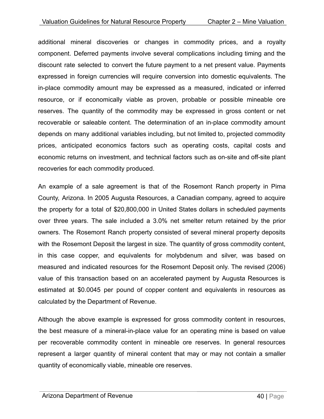additional mineral discoveries or changes in commodity prices, and a royalty component. Deferred payments involve several complications including timing and the discount rate selected to convert the future payment to a net present value. Payments expressed in foreign currencies will require conversion into domestic equivalents. The in-place commodity amount may be expressed as a measured, indicated or inferred resource, or if economically viable as proven, probable or possible mineable ore reserves. The quantity of the commodity may be expressed in gross content or net recoverable or saleable content. The determination of an in-place commodity amount depends on many additional variables including, but not limited to, projected commodity prices, anticipated economics factors such as operating costs, capital costs and economic returns on investment, and technical factors such as on-site and off-site plant recoveries for each commodity produced.

An example of a sale agreement is that of the Rosemont Ranch property in Pima County, Arizona. In 2005 Augusta Resources, a Canadian company, agreed to acquire the property for a total of \$20,800,000 in United States dollars in scheduled payments over three years. The sale included a 3.0% net smelter return retained by the prior owners. The Rosemont Ranch property consisted of several mineral property deposits with the Rosemont Deposit the largest in size. The quantity of gross commodity content, in this case copper, and equivalents for molybdenum and silver, was based on measured and indicated resources for the Rosemont Deposit only. The revised (2006) value of this transaction based on an accelerated payment by Augusta Resources is estimated at \$0.0045 per pound of copper content and equivalents in resources as calculated by the Department of Revenue.

Although the above example is expressed for gross commodity content in resources, the best measure of a mineral-in-place value for an operating mine is based on value per recoverable commodity content in mineable ore reserves. In general resources represent a larger quantity of mineral content that may or may not contain a smaller quantity of economically viable, mineable ore reserves.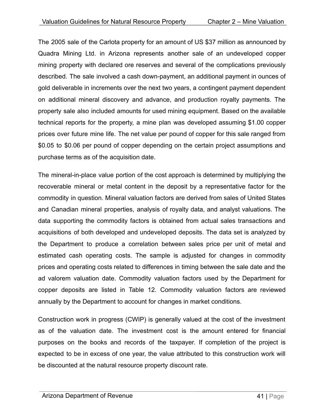The 2005 sale of the Carlota property for an amount of US \$37 million as announced by Quadra Mining Ltd. in Arizona represents another sale of an undeveloped copper mining property with declared ore reserves and several of the complications previously described. The sale involved a cash down-payment, an additional payment in ounces of gold deliverable in increments over the next two years, a contingent payment dependent on additional mineral discovery and advance, and production royalty payments. The property sale also included amounts for used mining equipment. Based on the available technical reports for the property, a mine plan was developed assuming \$1.00 copper prices over future mine life. The net value per pound of copper for this sale ranged from \$0.05 to \$0.06 per pound of copper depending on the certain project assumptions and purchase terms as of the acquisition date.

The mineral-in-place value portion of the cost approach is determined by multiplying the recoverable mineral or metal content in the deposit by a representative factor for the commodity in question. Mineral valuation factors are derived from sales of United States and Canadian mineral properties, analysis of royalty data, and analyst valuations. The data supporting the commodity factors is obtained from actual sales transactions and acquisitions of both developed and undeveloped deposits. The data set is analyzed by the Department to produce a correlation between sales price per unit of metal and estimated cash operating costs. The sample is adjusted for changes in commodity prices and operating costs related to differences in timing between the sale date and the ad valorem valuation date. Commodity valuation factors used by the Department for copper deposits are listed in Table 12. Commodity valuation factors are reviewed annually by the Department to account for changes in market conditions.

Construction work in progress (CWIP) is generally valued at the cost of the investment as of the valuation date. The investment cost is the amount entered for financial purposes on the books and records of the taxpayer. If completion of the project is expected to be in excess of one year, the value attributed to this construction work will be discounted at the natural resource property discount rate.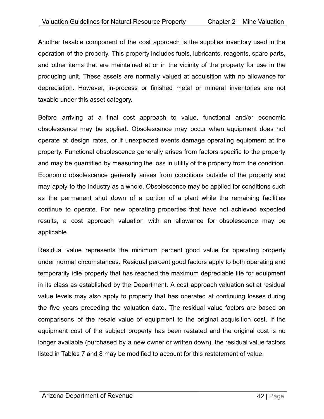Another taxable component of the cost approach is the supplies inventory used in the operation of the property. This property includes fuels, lubricants, reagents, spare parts, and other items that are maintained at or in the vicinity of the property for use in the producing unit. These assets are normally valued at acquisition with no allowance for depreciation. However, in-process or finished metal or mineral inventories are not taxable under this asset category.

Before arriving at a final cost approach to value, functional and/or economic obsolescence may be applied. Obsolescence may occur when equipment does not operate at design rates, or if unexpected events damage operating equipment at the property. Functional obsolescence generally arises from factors specific to the property and may be quantified by measuring the loss in utility of the property from the condition. Economic obsolescence generally arises from conditions outside of the property and may apply to the industry as a whole. Obsolescence may be applied for conditions such as the permanent shut down of a portion of a plant while the remaining facilities continue to operate. For new operating properties that have not achieved expected results, a cost approach valuation with an allowance for obsolescence may be applicable.

Residual value represents the minimum percent good value for operating property under normal circumstances. Residual percent good factors apply to both operating and temporarily idle property that has reached the maximum depreciable life for equipment in its class as established by the Department. A cost approach valuation set at residual value levels may also apply to property that has operated at continuing losses during the five years preceding the valuation date. The residual value factors are based on comparisons of the resale value of equipment to the original acquisition cost. If the equipment cost of the subject property has been restated and the original cost is no longer available (purchased by a new owner or written down), the residual value factors listed in Tables 7 and 8 may be modified to account for this restatement of value.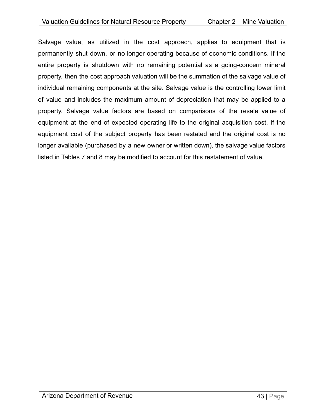Salvage value, as utilized in the cost approach, applies to equipment that is permanently shut down, or no longer operating because of economic conditions. If the entire property is shutdown with no remaining potential as a going-concern mineral property, then the cost approach valuation will be the summation of the salvage value of individual remaining components at the site. Salvage value is the controlling lower limit of value and includes the maximum amount of depreciation that may be applied to a property. Salvage value factors are based on comparisons of the resale value of equipment at the end of expected operating life to the original acquisition cost. If the equipment cost of the subject property has been restated and the original cost is no longer available (purchased by a new owner or written down), the salvage value factors listed in Tables 7 and 8 may be modified to account for this restatement of value.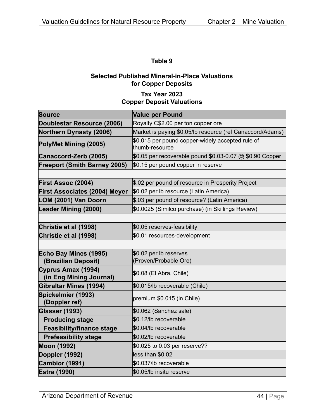#### **Selected Published Mineral-in-Place Valuations for Copper Deposits**

#### **Tax Year 2023 Copper Deposit Valuations**

| <b>Source</b>                                 | <b>Value per Pound</b>                                             |  |
|-----------------------------------------------|--------------------------------------------------------------------|--|
| Doublestar Resource (2006)                    | Royalty C\$2.00 per ton copper ore                                 |  |
| <b>Northern Dynasty (2006)</b>                | Market is paying \$0.05/lb resource (ref Canaccord/Adams)          |  |
| PolyMet Mining (2005)                         | \$0.015 per pound copper-widely accepted rule of<br>thumb-resource |  |
| Canaccord-Zerb (2005)                         | \$0.05 per recoverable pound \$0.03-0.07 @ \$0.90 Copper           |  |
| <b>Freeport (Smith Barney 2005)</b>           | \$0.15 per pound copper in reserve                                 |  |
|                                               |                                                                    |  |
| <b>First Assoc (2004)</b>                     | \$.02 per pound of resource in Prosperity Project                  |  |
| <b>First Associates (2004) Meyer</b>          | \$0.02 per Ib resource (Latin America)                             |  |
| LOM (2001) Van Doorn                          | \$.03 per pound of resource? (Latin America)                       |  |
| <b>Leader Mining (2000)</b>                   | \$0.0025 (Similco purchase) (in Skillings Review)                  |  |
|                                               |                                                                    |  |
| Christie et al (1998)                         | \$0.05 reserves-feasibility                                        |  |
| Christie et al (1998)                         | \$0.01 resources-development                                       |  |
|                                               |                                                                    |  |
| Echo Bay Mines (1995)                         | \$0.02 per lb reserves                                             |  |
| (Brazilian Deposit)                           | (Proven/Probable Ore)                                              |  |
| Cyprus Amax (1994)<br>(in Eng Mining Journal) | \$0.08 (El Abra, Chile)                                            |  |
| <b>Gibraltar Mines (1994)</b>                 | \$0.015/lb recoverable (Chile)                                     |  |
| Spickelmier (1993)<br>(Doppler ref)           | premium \$0.015 (in Chile)                                         |  |
| <b>Glasser (1993)</b>                         | \$0.062 (Sanchez sale)                                             |  |
| <b>Producing stage</b>                        | \$0.12/lb recoverable                                              |  |
| <b>Feasibility/finance stage</b>              | \$0.04/lb recoverable                                              |  |
| <b>Prefeasibility stage</b>                   | \$0.02/lb recoverable                                              |  |
| <b>Moon (1992)</b>                            | \$0.025 to 0.03 per reserve??                                      |  |
| Doppler (1992)                                | less than \$0.02                                                   |  |
| Cambior (1991)                                | \$0.037/lb recoverable                                             |  |
| <b>Estra (1990)</b>                           | \$0.05/lb insitu reserve                                           |  |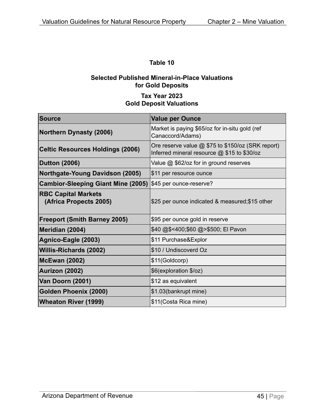#### **Selected Published Mineral-in-Place Valuations for Gold Deposits**

#### **Tax Year 2023 Gold Deposit Valuations**

| Source                                               | <b>Value per Ounce</b>                                                                             |
|------------------------------------------------------|----------------------------------------------------------------------------------------------------|
| <b>Northern Dynasty (2006)</b>                       | Market is paying \$65/oz for in-situ gold (ref<br>Canaccord/Adams)                                 |
| <b>Celtic Resources Holdings (2006)</b>              | Ore reserve value $@$ \$75 to \$150/oz (SRK report)<br>Inferred mineral resource @ \$15 to \$30/oz |
| <b>Dutton (2006)</b>                                 | Value @ \$62/oz for in ground reserves                                                             |
| Northgate-Young Davidson (2005)                      | \$11 per resource ounce                                                                            |
| <b>Cambior-Sleeping Giant Mine (2005)</b>            | \$45 per ounce-reserve?                                                                            |
| <b>RBC Capital Markets</b><br>(Africa Propects 2005) | \$25 per ounce indicated & measured; \$15 other                                                    |
| <b>Freeport (Smith Barney 2005)</b>                  | \$95 per ounce gold in reserve                                                                     |
| Meridian (2004)                                      | \$40 @\$<400;\$60 @>\$500; El Pavon                                                                |
| Agnico-Eagle (2003)                                  | \$11 Purchase&Explor                                                                               |
| <b>Willis-Richards (2002)</b>                        | \$10 / Undiscoverd Oz                                                                              |
| <b>McEwan (2002)</b>                                 | \$11(Goldcorp)                                                                                     |
| Aurizon (2002)                                       | \$6(exploration \$/oz)                                                                             |
| Van Doorn (2001)                                     | \$12 as equivalent                                                                                 |
| <b>Golden Phoenix (2000)</b>                         | \$1.03(bankrupt mine)                                                                              |
| <b>Wheaton River (1999)</b>                          | \$11(Costa Rica mine)                                                                              |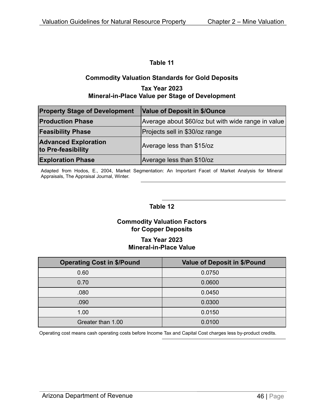#### **Commodity Valuation Standards for Gold Deposits Tax Year 2023**

#### **Mineral-in-Place Value per Stage of Development**

| <b>Property Stage of Development</b>              | Value of Deposit in \$/Ounce                       |
|---------------------------------------------------|----------------------------------------------------|
| <b>Production Phase</b>                           | Average about \$60/oz but with wide range in value |
| <b>Feasibility Phase</b>                          | Projects sell in \$30/oz range                     |
| <b>Advanced Exploration</b><br>to Pre-feasibility | Average less than \$15/oz                          |
| <b>Exploration Phase</b>                          | Average less than \$10/oz                          |

Adapted from Hodos, E., 2004, Market Segmentation: An Important Facet of Market Analysis for Mineral Appraisals, The Appraisal Journal, Winter.

#### **Table 12**

#### **Commodity Valuation Factors for Copper Deposits**

#### **Tax Year 2023 Mineral-in-Place Value**

| <b>Operating Cost in \$/Pound</b> | <b>Value of Deposit in \$/Pound</b> |
|-----------------------------------|-------------------------------------|
| 0.60                              | 0.0750                              |
| 0.70                              | 0.0600                              |
| .080                              | 0.0450                              |
| .090                              | 0.0300                              |
| 1.00                              | 0.0150                              |
| Greater than 1.00                 | 0.0100                              |

Operating cost means cash operating costs before Income Tax and Capital Cost charges less by-product credits.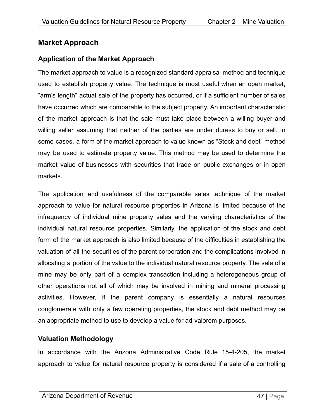#### <span id="page-47-0"></span>**Market Approach**

#### <span id="page-47-1"></span>**Application of the Market Approach**

The market approach to value is a recognized standard appraisal method and technique used to establish property value. The technique is most useful when an open market, "arm's length" actual sale of the property has occurred, or if a sufficient number of sales have occurred which are comparable to the subject property. An important characteristic of the market approach is that the sale must take place between a willing buyer and willing seller assuming that neither of the parties are under duress to buy or sell. In some cases, a form of the market approach to value known as "Stock and debt" method may be used to estimate property value. This method may be used to determine the market value of businesses with securities that trade on public exchanges or in open markets.

The application and usefulness of the comparable sales technique of the market approach to value for natural resource properties in Arizona is limited because of the infrequency of individual mine property sales and the varying characteristics of the individual natural resource properties. Similarly, the application of the stock and debt form of the market approach is also limited because of the difficulties in establishing the valuation of all the securities of the parent corporation and the complications involved in allocating a portion of the value to the individual natural resource property. The sale of a mine may be only part of a complex transaction including a heterogeneous group of other operations not all of which may be involved in mining and mineral processing activities. However, if the parent company is essentially a natural resources conglomerate with only a few operating properties, the stock and debt method may be an appropriate method to use to develop a value for ad-valorem purposes.

#### <span id="page-47-2"></span>**Valuation Methodology**

In accordance with the Arizona Administrative Code Rule 15-4-205, the market approach to value for natural resource property is considered if a sale of a controlling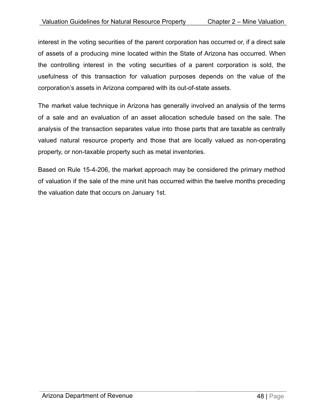interest in the voting securities of the parent corporation has occurred or, if a direct sale of assets of a producing mine located within the State of Arizona has occurred. When the controlling interest in the voting securities of a parent corporation is sold, the usefulness of this transaction for valuation purposes depends on the value of the corporation's assets in Arizona compared with its out-of-state assets.

The market value technique in Arizona has generally involved an analysis of the terms of a sale and an evaluation of an asset allocation schedule based on the sale. The analysis of the transaction separates value into those parts that are taxable as centrally valued natural resource property and those that are locally valued as non-operating property, or non-taxable property such as metal inventories.

Based on Rule 15-4-206, the market approach may be considered the primary method of valuation if the sale of the mine unit has occurred within the twelve months preceding the valuation date that occurs on January 1st.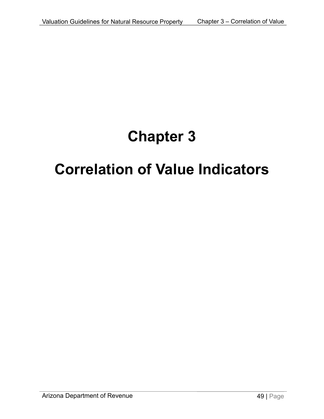## **Chapter 3**

## <span id="page-49-0"></span>**Correlation of Value Indicators**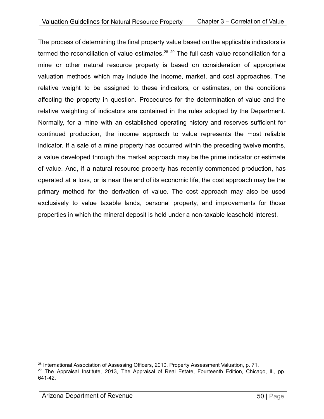The process of determining the final property value based on the applicable indicators is termed the reconciliation of value estimates. $^{28}$   $^{29}$  The full cash value reconciliation for a mine or other natural resource property is based on consideration of appropriate valuation methods which may include the income, market, and cost approaches. The relative weight to be assigned to these indicators, or estimates, on the conditions affecting the property in question. Procedures for the determination of value and the relative weighting of indicators are contained in the rules adopted by the Department. Normally, for a mine with an established operating history and reserves sufficient for continued production, the income approach to value represents the most reliable indicator. If a sale of a mine property has occurred within the preceding twelve months, a value developed through the market approach may be the prime indicator or estimate of value. And, if a natural resource property has recently commenced production, has operated at a loss, or is near the end of its economic life, the cost approach may be the primary method for the derivation of value. The cost approach may also be used exclusively to value taxable lands, personal property, and improvements for those properties in which the mineral deposit is held under a non-taxable leasehold interest.

<sup>&</sup>lt;sup>28</sup> International Association of Assessing Officers, 2010, Property Assessment Valuation, p. 71.

<sup>&</sup>lt;sup>29</sup> The Appraisal Institute, 2013, The Appraisal of Real Estate, Fourteenth Edition, Chicago, IL, pp. 641-42.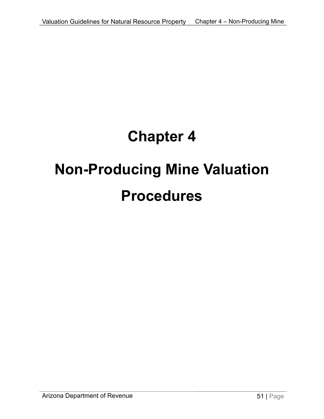## **Chapter 4**

## <span id="page-51-0"></span>**Non-Producing Mine Valuation Procedures**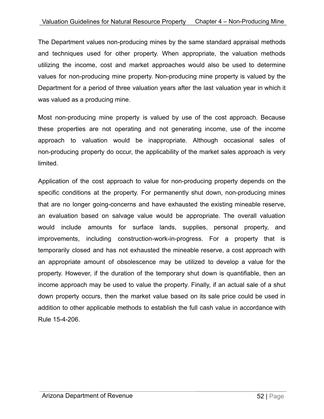The Department values non-producing mines by the same standard appraisal methods and techniques used for other property. When appropriate, the valuation methods utilizing the income, cost and market approaches would also be used to determine values for non-producing mine property. Non-producing mine property is valued by the Department for a period of three valuation years after the last valuation year in which it was valued as a producing mine.

Most non-producing mine property is valued by use of the cost approach. Because these properties are not operating and not generating income, use of the income approach to valuation would be inappropriate. Although occasional sales of non-producing property do occur, the applicability of the market sales approach is very limited.

Application of the cost approach to value for non-producing property depends on the specific conditions at the property. For permanently shut down, non-producing mines that are no longer going-concerns and have exhausted the existing mineable reserve, an evaluation based on salvage value would be appropriate. The overall valuation would include amounts for surface lands, supplies, personal property, and improvements, including construction-work-in-progress. For a property that is temporarily closed and has not exhausted the mineable reserve, a cost approach with an appropriate amount of obsolescence may be utilized to develop a value for the property. However, if the duration of the temporary shut down is quantifiable, then an income approach may be used to value the property. Finally, if an actual sale of a shut down property occurs, then the market value based on its sale price could be used in addition to other applicable methods to establish the full cash value in accordance with Rule 15-4-206.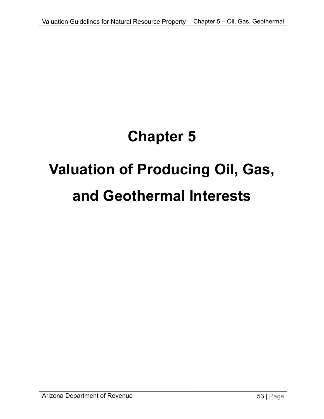## **Chapter 5**

# <span id="page-53-1"></span><span id="page-53-0"></span>**Valuation of Producing Oil, Gas, and Geothermal Interests**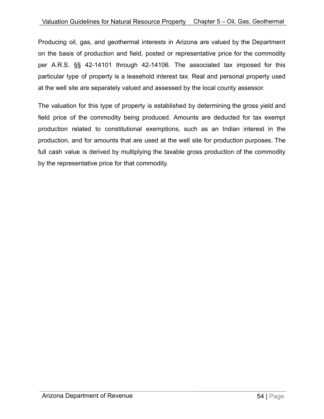Producing oil, gas, and geothermal interests in Arizona are valued by the Department on the basis of production and field, posted or representative price for the commodity per A.R.S. §§ 42-14101 through 42-14106. The associated tax imposed for this particular type of property is a leasehold interest tax. Real and personal property used at the well site are separately valued and assessed by the local county assessor.

The valuation for this type of property is established by determining the gross yield and field price of the commodity being produced. Amounts are deducted for tax exempt production related to constitutional exemptions, such as an Indian interest in the production, and for amounts that are used at the well site for production purposes. The full cash value is derived by multiplying the taxable gross production of the commodity by the representative price for that commodity.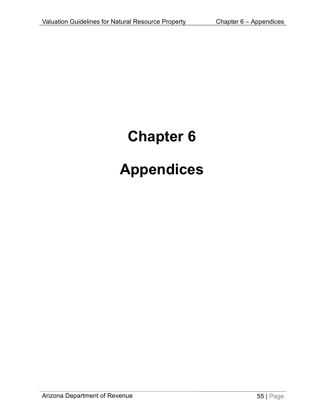# <span id="page-55-0"></span>**Chapter 6 Appendices**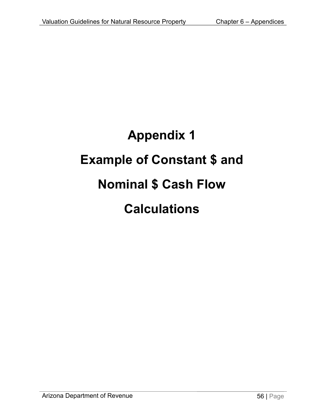# **Appendix 1 Example of Constant \$ and Nominal \$ Cash Flow Calculations**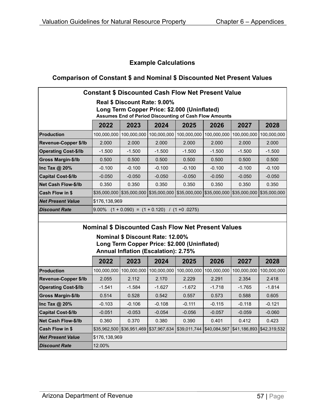#### **Example Calculations**

#### **Comparison of Constant \$ and Nominal \$ Discounted Net Present Values**

| <b>Constant \$ Discounted Cash Flow Net Present Value</b>                    |                                                       |                                             |             |                                                                               |             |             |              |  |  |
|------------------------------------------------------------------------------|-------------------------------------------------------|---------------------------------------------|-------------|-------------------------------------------------------------------------------|-------------|-------------|--------------|--|--|
| Real \$ Discount Rate: 9.00%<br>Long Term Copper Price: \$2.000 (Uninflated) |                                                       |                                             |             |                                                                               |             |             |              |  |  |
| <b>Assumes End of Period Discounting of Cash Flow Amounts</b>                |                                                       |                                             |             |                                                                               |             |             |              |  |  |
|                                                                              | 2022<br>2028<br>2023<br>2024<br>2025<br>2026<br>2027  |                                             |             |                                                                               |             |             |              |  |  |
| Production                                                                   | 100,000,000                                           | 100,000,000                                 | 100,000,000 | 100,000,000                                                                   | 100,000,000 | 100,000,000 | 100,000,000  |  |  |
| <b>Revenue-Copper \$/lb</b>                                                  | 2.000                                                 | 2.000                                       | 2.000       | 2.000                                                                         | 2.000       | 2.000       | 2.000        |  |  |
| <b>Operating Cost-\$/lb</b>                                                  | $-1.500$                                              | $-1.500$                                    | $-1.500$    | $-1.500$                                                                      | $-1.500$    | $-1.500$    | $-1.500$     |  |  |
| <b>Gross Margin-\$/lb</b>                                                    | 0.500                                                 | 0.500                                       | 0.500       | 0.500                                                                         | 0.500       | 0.500       | 0.500        |  |  |
| Inc Tax @ 20%                                                                | $-0.100$                                              | $-0.100$                                    | $-0.100$    | $-0.100$                                                                      | $-0.100$    | $-0.100$    | $-0.100$     |  |  |
| <b>Capital Cost-\$/lb</b>                                                    | $-0.050$                                              | $-0.050$                                    | $-0.050$    | $-0.050$                                                                      | $-0.050$    | $-0.050$    | $-0.050$     |  |  |
| <b>Net Cash Flow-\$/lb</b>                                                   | 0.350                                                 | 0.350                                       | 0.350       | 0.350                                                                         | 0.350       | 0.350       | 0.350        |  |  |
| <b>Cash Flow in \$</b>                                                       |                                                       |                                             |             | \$35,000,000 \$35,000,000 \$35,000,000 \$35,000,000 \$35,000,000 \$35,000,000 |             |             | \$35,000,000 |  |  |
| <b>Net Present Value</b>                                                     | \$176,138,969                                         |                                             |             |                                                                               |             |             |              |  |  |
| <b>Discount Rate</b>                                                         | $9.00\%$ $(1 + 0.090) = (1 + 0.120)$ / $(1 + 0.0275)$ |                                             |             |                                                                               |             |             |              |  |  |
|                                                                              |                                                       |                                             |             |                                                                               |             |             |              |  |  |
|                                                                              |                                                       |                                             |             | <b>Nominal \$ Discounted Cash Flow Net Present Values</b>                     |             |             |              |  |  |
|                                                                              |                                                       | <b>Nominal \$ Discount Rate: 12.00%</b>     |             |                                                                               |             |             |              |  |  |
|                                                                              |                                                       |                                             |             | Long Term Copper Price: \$2.000 (Uninflated)                                  |             |             |              |  |  |
|                                                                              |                                                       | <b>Annual Inflation (Escalation): 2.75%</b> |             |                                                                               |             |             |              |  |  |
|                                                                              | 2022                                                  | 2023                                        | 2024        | 2025                                                                          | 2026        | 2027        | 2028         |  |  |
| <b>Production</b>                                                            | 100,000,000                                           | 100,000,000                                 | 100,000,000 | 100,000,000                                                                   | 100,000,000 | 100,000,000 | 100,000,000  |  |  |
| <b>Revenue-Copper \$/lb</b>                                                  | 2.055                                                 | 2.112                                       | 2.170       | 2.229                                                                         | 2.291       | 2.354       | 2.418        |  |  |
| <b>Operating Cost-\$/lb</b>                                                  | $-1.541$                                              | $-1.584$                                    | $-1.627$    | $-1.672$                                                                      | $-1.718$    | $-1.765$    | $-1.814$     |  |  |
| <b>Gross Margin-\$/lb</b>                                                    | 0.514                                                 | 0.528                                       | 0.542       | 0.557                                                                         | 0.573       | 0.588       | 0.605        |  |  |

**Inc Tax @ 20%** -0.103 -0.106 -0.108 -0.111 -0.115 -0.118 -0.121 **Capital Cost-\$/lb** -0.051 -0.053 -0.054 -0.056 -0.057 -0.059 -0.060 **Net Cash Flow-\$/lb** 0.360 0.370 0.380 0.390 0.401 0.412 0.423 **Cash Flow in \$** \$35,962,500 \$36,951,469 \$37,967,634 \$39,011,744 \$40,084,567 \$41,186,893 \$42,319,532

**Net Present Value** \$176,138,969

**Discount Rate** 12.00%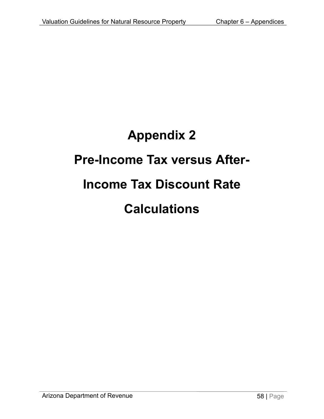# **Appendix 2 Pre-Income Tax versus After-Income Tax Discount Rate Calculations**